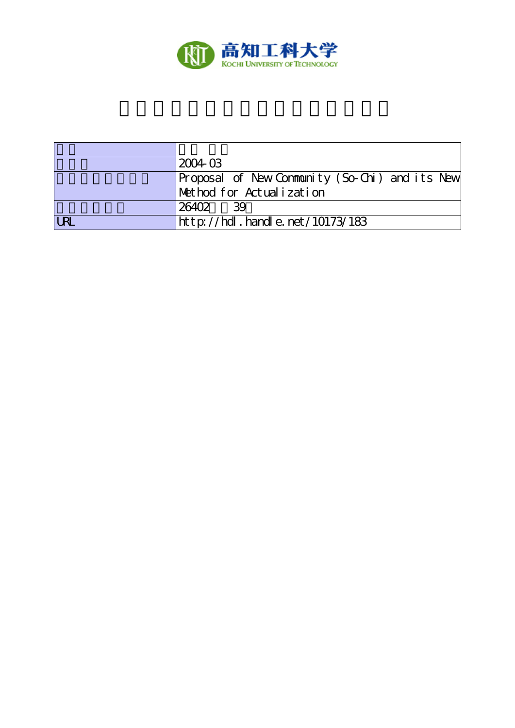

|            | 12004-03                                       |
|------------|------------------------------------------------|
|            | Proposal of New Community (So-Chi) and its New |
|            | Method for Actualization                       |
|            | 26402<br>-39                                   |
| <b>LRL</b> | http://hdl.handle.net/10173/183                |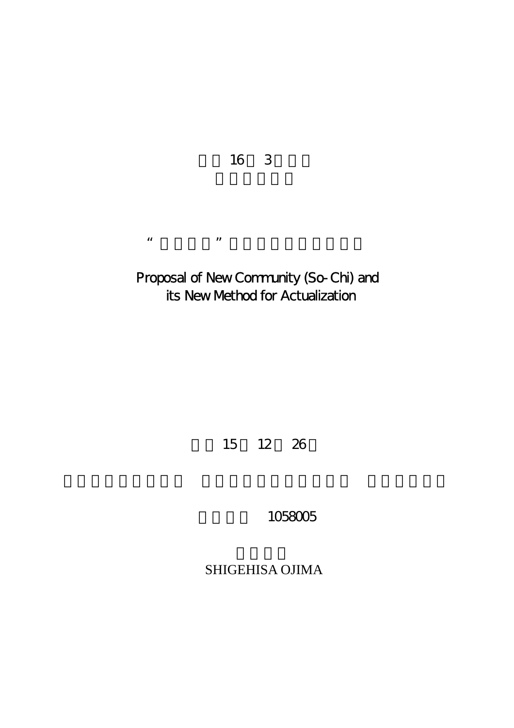16 3

# Proposal of New Community (So-Chi) and its New Method for Actualization

 $\mathbf{u}$   $\mathbf{u}$ 

15 12 26

1058005

SHIGEHISA OJIMA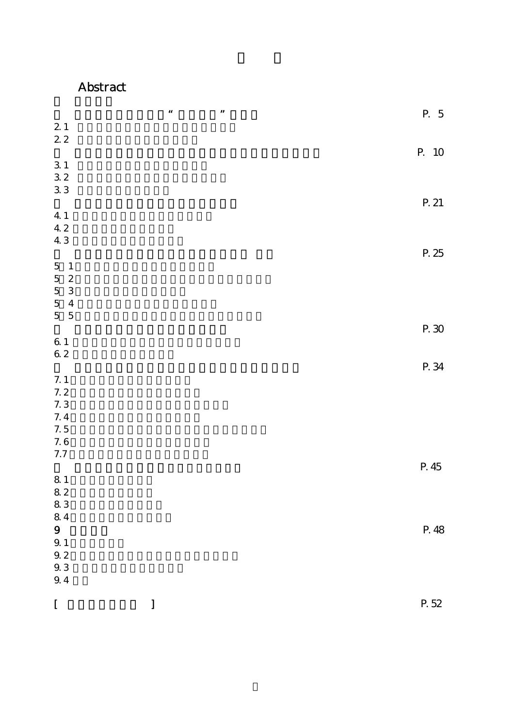## Abstract

|                                  | $\boldsymbol{\mu}$ | $\boldsymbol{n}$ | P. 5  |
|----------------------------------|--------------------|------------------|-------|
| $2\,$ $1\,$                      |                    |                  |       |
| $2\,2$                           |                    |                  |       |
|                                  |                    |                  | P. 10 |
| $3\,1$                           |                    |                  |       |
| $3\;2$                           |                    |                  |       |
| 3 <sub>3</sub>                   |                    |                  |       |
|                                  |                    |                  |       |
|                                  |                    |                  | P. 21 |
| 4 1                              |                    |                  |       |
| 42                               |                    |                  |       |
| 43                               |                    |                  |       |
|                                  |                    |                  | P. 25 |
| $\mathbf 5$<br>$\mathbf{1}$      |                    |                  |       |
| $\mathbf 5$<br>$\boldsymbol{2}$  |                    |                  |       |
| $5\quad 3$                       |                    |                  |       |
| $\overline{5}$<br>$\overline{4}$ |                    |                  |       |
| $5\quad 5$                       |                    |                  |       |
|                                  |                    |                  | P. 30 |
| $6\ 1$                           |                    |                  |       |
| $62$                             |                    |                  |       |
|                                  |                    |                  | P. 34 |
| $7. \;1$                         |                    |                  |       |
| $7.2$                            |                    |                  |       |
| 7.3                              |                    |                  |       |
| 7.4                              |                    |                  |       |
| 7.5                              |                    |                  |       |
| $7.6\,$                          |                    |                  |       |
| $7.7\,$                          |                    |                  |       |
|                                  |                    |                  | P. 45 |
| $8\,1$                           |                    |                  |       |
| $8\;2$                           |                    |                  |       |
| $8\;3$                           |                    |                  |       |
| $8\;4$                           |                    |                  |       |
| $\boldsymbol{9}$                 |                    |                  | P. 48 |
| $9\!\!.$ $1\!\!$                 |                    |                  |       |
| $9\!\!.$ $2\!\!$                 |                    |                  |       |
| $9\!\!.$ $3\!\!$                 |                    |                  |       |
| $9\!\!.$ $4\!\!$                 |                    |                  |       |
|                                  |                    |                  |       |
|                                  |                    |                  | P. 52 |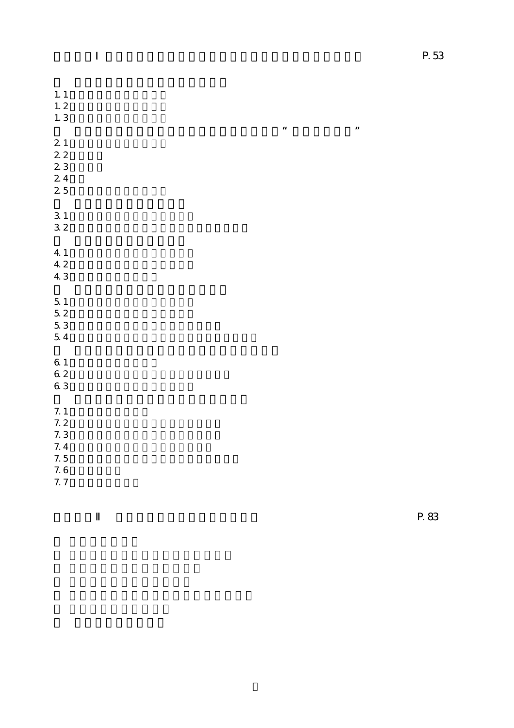$7.6$ 7. 7

 $P.83$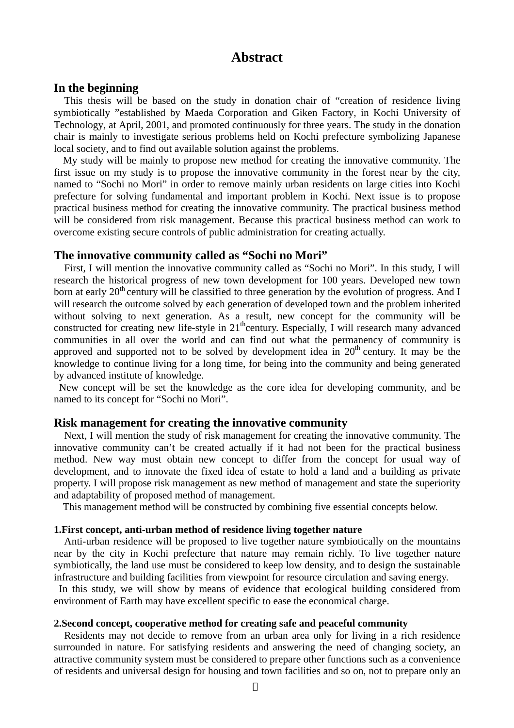## **Abstract**

### **In the beginning**

This thesis will be based on the study in donation chair of "creation of residence living symbiotically "established by Maeda Corporation and Giken Factory, in Kochi University of Technology, at April, 2001, and promoted continuously for three years. The study in the donation chair is mainly to investigate serious problems held on Kochi prefecture symbolizing Japanese local society, and to find out available solution against the problems.

My study will be mainly to propose new method for creating the innovative community. The first issue on my study is to propose the innovative community in the forest near by the city, named to "Sochi no Mori" in order to remove mainly urban residents on large cities into Kochi prefecture for solving fundamental and important problem in Kochi. Next issue is to propose practical business method for creating the innovative community. The practical business method will be considered from risk management. Because this practical business method can work to overcome existing secure controls of public administration for creating actually.

#### **The innovative community called as "Sochi no Mori"**

First, I will mention the innovative community called as "Sochi no Mori". In this study, I will research the historical progress of new town development for 100 years. Developed new town born at early  $20<sup>th</sup>$  century will be classified to three generation by the evolution of progress. And I will research the outcome solved by each generation of developed town and the problem inherited without solving to next generation. As a result, new concept for the community will be constructed for creating new life-style in  $21<sup>th</sup>$ century. Especially, I will research many advanced communities in all over the world and can find out what the permanency of community is approved and supported not to be solved by development idea in  $20<sup>th</sup>$  century. It may be the knowledge to continue living for a long time, for being into the community and being generated by advanced institute of knowledge.

 New concept will be set the knowledge as the core idea for developing community, and be named to its concept for "Sochi no Mori".

## **Risk management for creating the innovative community**

Next, I will mention the study of risk management for creating the innovative community. The innovative community can't be created actually if it had not been for the practical business method. New way must obtain new concept to differ from the concept for usual way of development, and to innovate the fixed idea of estate to hold a land and a building as private property. I will propose risk management as new method of management and state the superiority and adaptability of proposed method of management.

This management method will be constructed by combining five essential concepts below.

#### **1.First concept, anti-urban method of residence living together nature**

Anti-urban residence will be proposed to live together nature symbiotically on the mountains near by the city in Kochi prefecture that nature may remain richly. To live together nature symbiotically, the land use must be considered to keep low density, and to design the sustainable infrastructure and building facilities from viewpoint for resource circulation and saving energy.

 In this study, we will show by means of evidence that ecological building considered from environment of Earth may have excellent specific to ease the economical charge.

#### **2.Second concept, cooperative method for creating safe and peaceful community**

Residents may not decide to remove from an urban area only for living in a rich residence surrounded in nature. For satisfying residents and answering the need of changing society, an attractive community system must be considered to prepare other functions such as a convenience of residents and universal design for housing and town facilities and so on, not to prepare only an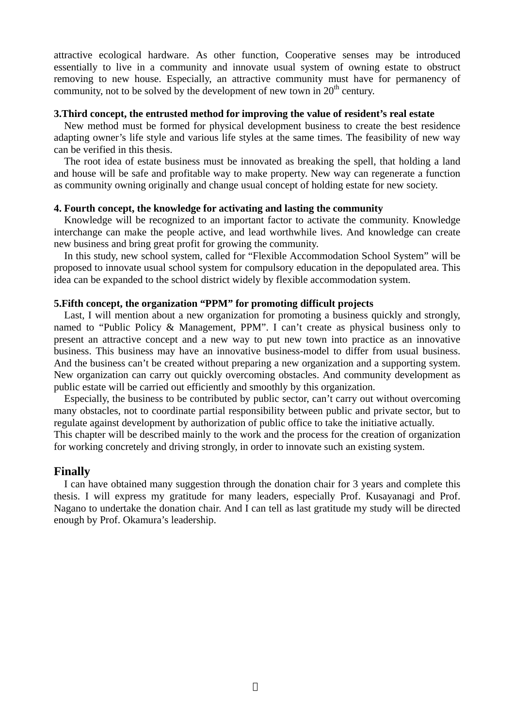attractive ecological hardware. As other function, Cooperative senses may be introduced essentially to live in a community and innovate usual system of owning estate to obstruct removing to new house. Especially, an attractive community must have for permanency of community, not to be solved by the development of new town in  $20<sup>th</sup>$  century.

#### **3.Third concept, the entrusted method for improving the value of resident's real estate**

New method must be formed for physical development business to create the best residence adapting owner's life style and various life styles at the same times. The feasibility of new way can be verified in this thesis.

The root idea of estate business must be innovated as breaking the spell, that holding a land and house will be safe and profitable way to make property. New way can regenerate a function as community owning originally and change usual concept of holding estate for new society.

#### **4. Fourth concept, the knowledge for activating and lasting the community**

Knowledge will be recognized to an important factor to activate the community. Knowledge interchange can make the people active, and lead worthwhile lives. And knowledge can create new business and bring great profit for growing the community.

In this study, new school system, called for "Flexible Accommodation School System" will be proposed to innovate usual school system for compulsory education in the depopulated area. This idea can be expanded to the school district widely by flexible accommodation system.

#### **5.Fifth concept, the organization "PPM" for promoting difficult projects**

Last, I will mention about a new organization for promoting a business quickly and strongly, named to "Public Policy & Management, PPM". I can't create as physical business only to present an attractive concept and a new way to put new town into practice as an innovative business. This business may have an innovative business-model to differ from usual business. And the business can't be created without preparing a new organization and a supporting system. New organization can carry out quickly overcoming obstacles. And community development as public estate will be carried out efficiently and smoothly by this organization.

Especially, the business to be contributed by public sector, can't carry out without overcoming many obstacles, not to coordinate partial responsibility between public and private sector, but to regulate against development by authorization of public office to take the initiative actually. This chapter will be described mainly to the work and the process for the creation of organization

for working concretely and driving strongly, in order to innovate such an existing system.

#### **Finally**

I can have obtained many suggestion through the donation chair for 3 years and complete this thesis. I will express my gratitude for many leaders, especially Prof. Kusayanagi and Prof. Nagano to undertake the donation chair. And I can tell as last gratitude my study will be directed enough by Prof. Okamura's leadership.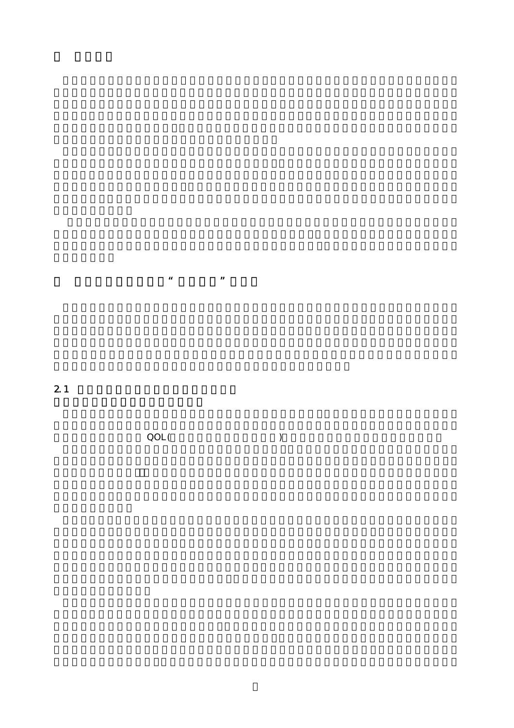$2.1$ 

 $\rm QOL($ 

 $\mu$  and  $\mu$  and  $\mu$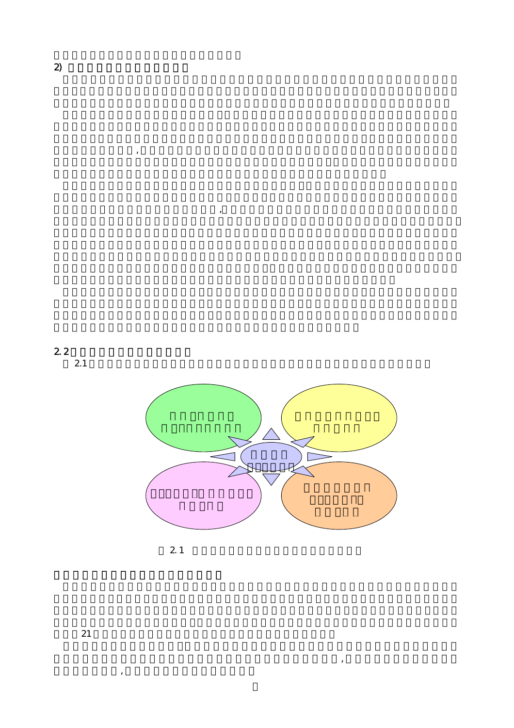



 $\mathcal{R}$ 

 $\langle \cdot, \cdot \rangle$ 

街地の整備だけで求めることはできない,新しい価値観に基づいたコミュニティが要請されていると

 $2.1$ 

 $\mathcal{L}$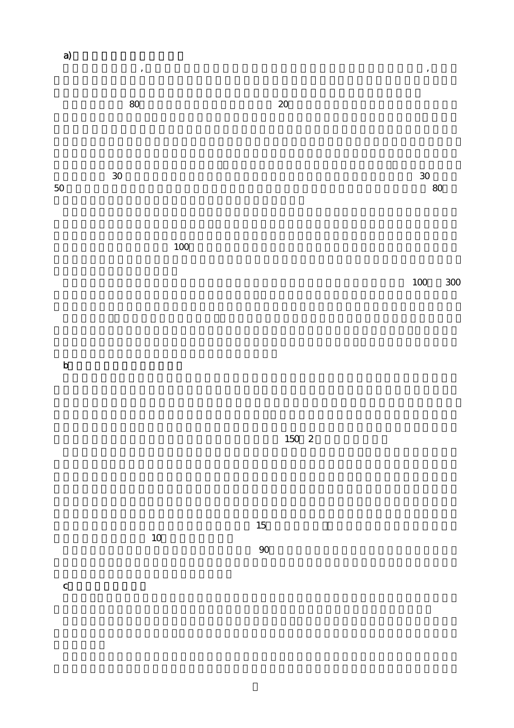c<sub>)</sub>

 $80 \hspace{2.5cm} 20$ 

 $30$  30  $30$  $50$  and  $80$ 

 $\bf{100}$ 

 $\mathbf b$ 

 $15$  $10$  $90$ 

 $150\quad2$ 

 $100$  300

土地バブル終焉後,地方の中核市街地の地価は大都市圏と同様に下落を続けているが,ここに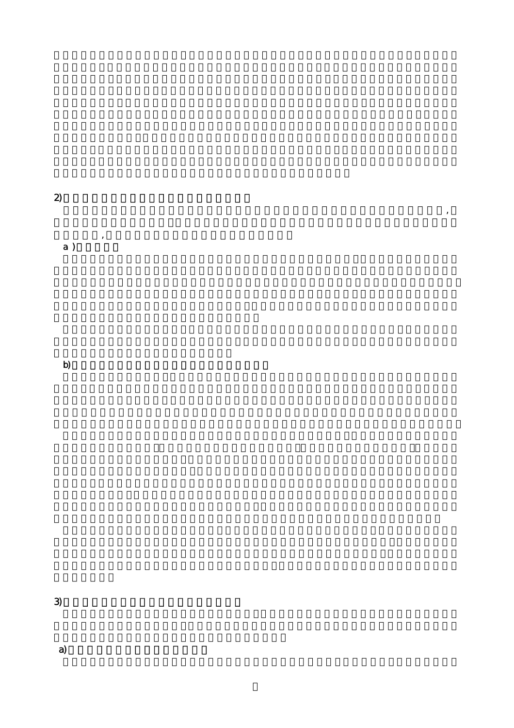$2$ 

a )  $\qquad$ 

都市圏に居住していた移住者は自然と共生するゆとりある居住空間を獲得できるとしても,容

 $\overline{\phantom{a}}$ 

b)  $\Box$ 

 $3)$ 

a) the state of the state of the state of the state of the state of the state of the state of the state of the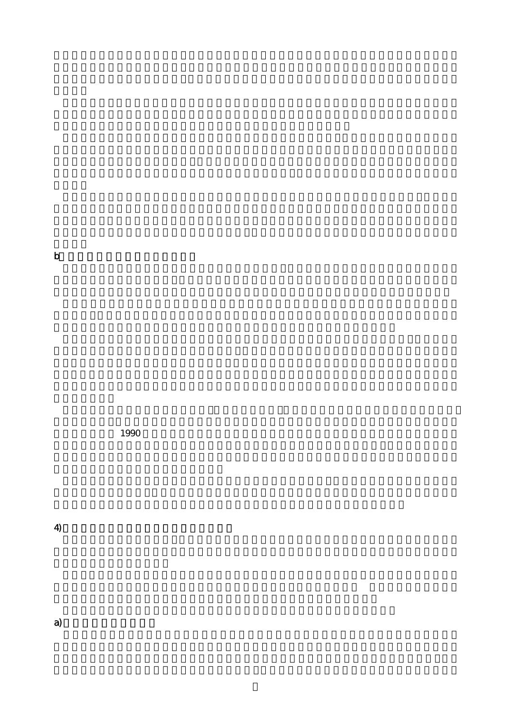$b$ 

 $1990$ 

 $4)$ 

a) and the set of  $\lambda$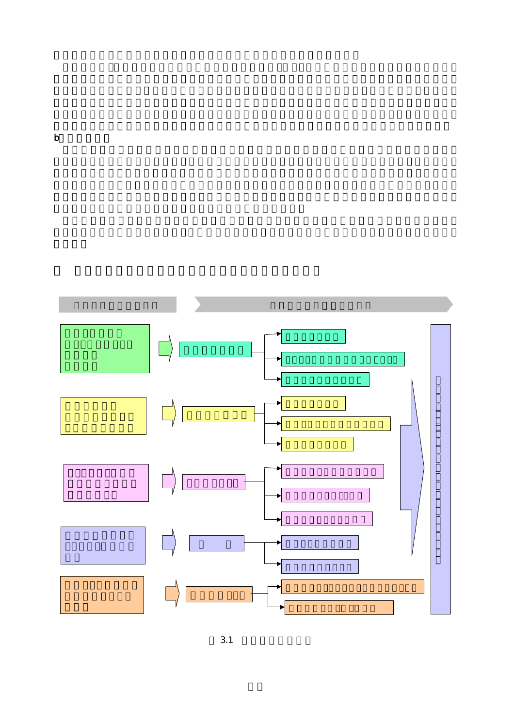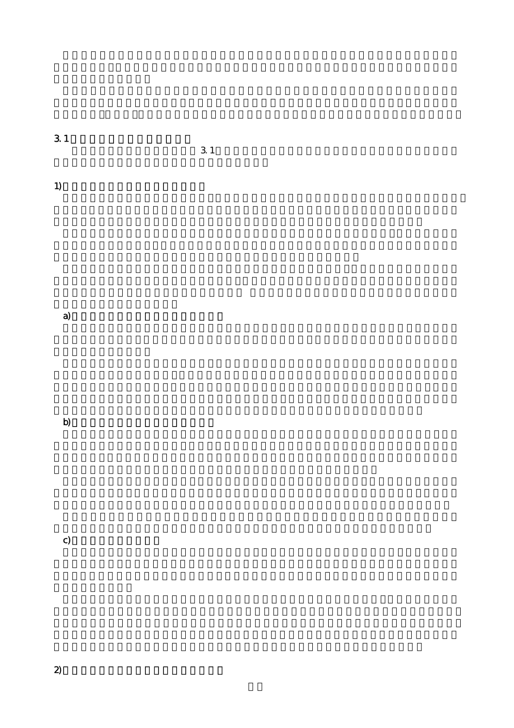$3.1$   $3.7$  $3.1$ 

 $\overline{1}$ 1)

a) and  $\tilde{a}$ 

b)  $\Box$ 

c)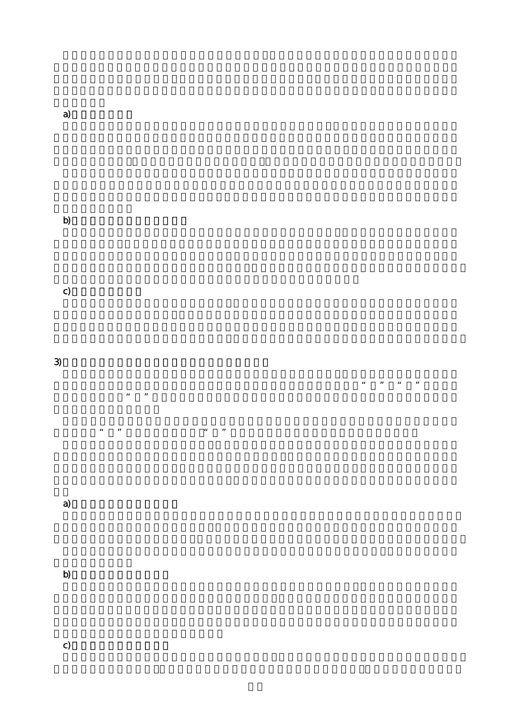a)

b) and the contract of the contract of the contract of the contract of the contract of the contract of the contract of the contract of the contract of the contract of the contract of the contract of the contract of the con

c)

3)  $3)$  $\begin{array}{ccccccccc}\n\mu & \mu & \mu & \mu & \mu \\
\mu & \mu & \mu & \mu & \mu\n\end{array}$  $\alpha$   $\beta$ 

a) a) and the state of the state of the state of the state of the state of the state of the state of the state of

 $\frac{1}{2}$  the contract the state  $\frac{1}{2}$  of the state  $\frac{1}{2}$  of the state  $\frac{1}{2}$  of the state  $\frac{1}{2}$ 

b)

c)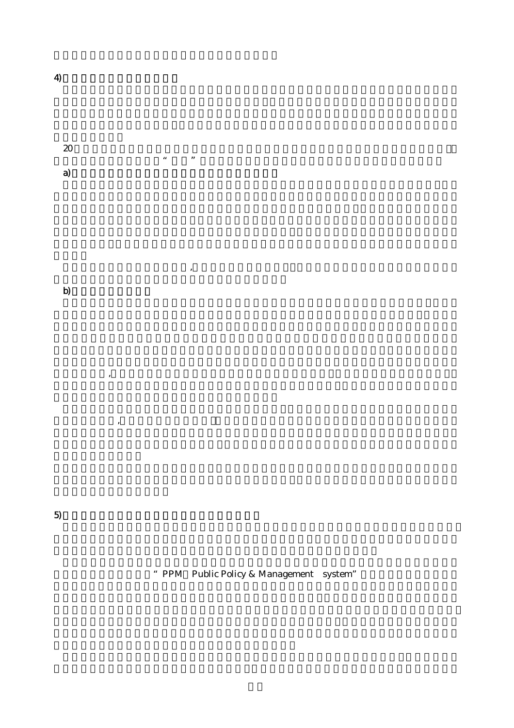$\overline{4}$ )

 $20$  $\kappa$ 

a)知恵の連鎖の原点となる革新的教育システムの導入

 $b)$ 

 $5)$ 

**EXAMELY PUBLIC Policy & Management system"** 

 $\,$ 

う。

 $\lambda$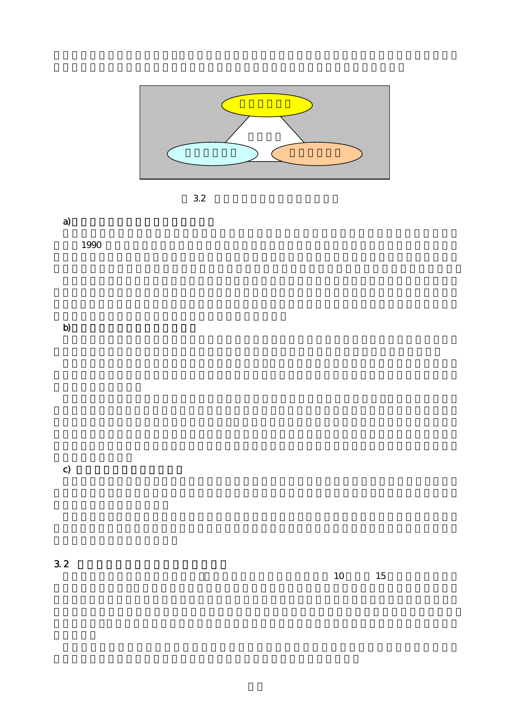

 $3.2$ 

a) and respectively. The contract of the contract of the contract of the contract of the contract of the contract of the contract of the contract of the contract of the contract of the contract of the contract of the contr

 $1990$ 

b)事業推進過程を透明化する機能

c)  $\blacksquare$ 

 $3.2$   $3.2$ 

 $\overline{10}$  and  $\overline{15}$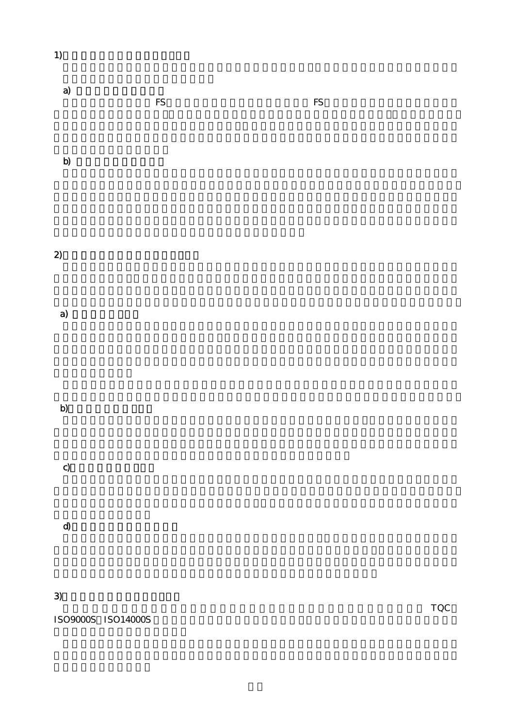#### $1)$

| а) | $\mathop{\rm FS}\nolimits$ | FS |
|----|----------------------------|----|
|    |                            |    |

# b)

# $2)$  $2)$

 $a)$ 

b)

c)

d) and the set of the set of the set of the set of the set of the set of the set of the set of the set of the

 $3)$  $3)$ 

 $\frac{1}{2}$  ISO9000S ISO14000S

 $_{\rm TQC}$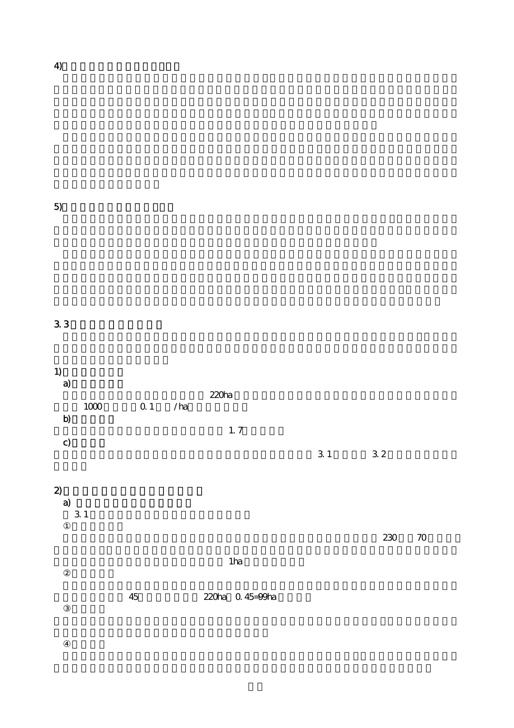$5)$  $5)$ 

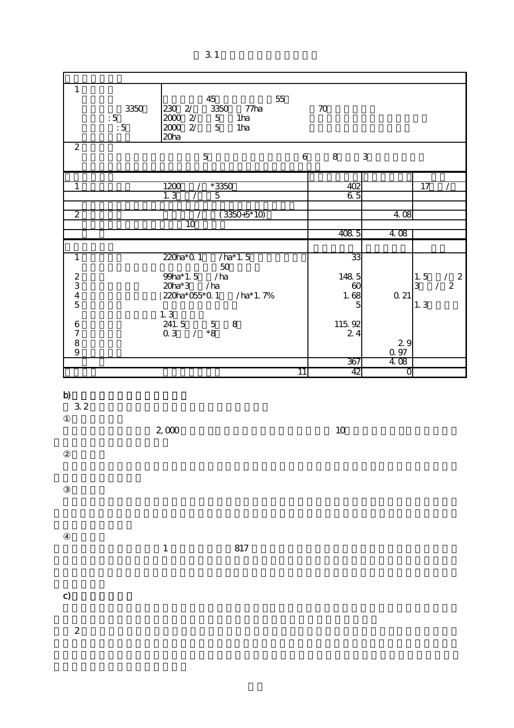| $\mathbf{1}$                              |                                                        |    |              |                |                 |
|-------------------------------------------|--------------------------------------------------------|----|--------------|----------------|-----------------|
|                                           | 45<br>55                                               |    |              |                |                 |
| 3350                                      | 230 2/<br>3350 77ha                                    |    | 70           |                |                 |
| :5                                        | $2000\quad 2'$<br>$5\overline{)}$<br>1ha               |    |              |                |                 |
| :5                                        | 20002<br>$5\overline{)}$<br>1 <sub>ha</sub>            |    |              |                |                 |
|                                           | 20ha                                                   |    |              |                |                 |
| $\overline{2}$                            |                                                        |    |              |                |                 |
|                                           | $\mathbf 5$                                            | 6  | 8            | 3              |                 |
|                                           |                                                        |    |              |                |                 |
| $\overline{1}$                            | 1200<br>$*3350$                                        |    | 402          |                | $\overline{17}$ |
|                                           | 1.3<br>5                                               |    | 65           |                |                 |
|                                           |                                                        |    |              |                |                 |
| $\overline{2}$                            | $3350+5*10$                                            |    |              | 4.08           |                 |
|                                           | 10                                                     |    |              |                |                 |
|                                           |                                                        |    | 408.5        | 4.08           |                 |
|                                           |                                                        |    |              |                |                 |
| $\mathbf{1}$                              | $220h^{*}0.1$<br>$/ha*1.5$                             |    | 33           |                |                 |
|                                           | $50\,$                                                 |    |              |                |                 |
| $\begin{array}{c}\n23 \\ 45\n\end{array}$ | 99ha*1.5 /ha                                           |    | 148 5        |                | 1.5<br>/2       |
|                                           | 20 <sup>h</sup> 3<br>$/\text{ha}$                      |    | $\alpha$     |                | 3<br>2          |
|                                           | $220a*055*0.1$ / $ha*1.7%$                             |    | 1.68         | Q 21           |                 |
|                                           |                                                        |    | 5            |                | 1.3             |
|                                           | 1.3<br>241.5                                           |    |              |                |                 |
|                                           | 8<br>$\overline{5}$<br>0.3<br>$^{\ast}8$<br>$\sqrt{2}$ |    | 115.92<br>24 |                |                 |
|                                           |                                                        |    |              | 29             |                 |
| 6789                                      |                                                        |    |              | $0.97\,$       |                 |
|                                           |                                                        |    | 367          | 4.08           |                 |
|                                           |                                                        | 11 | 42           | $\overline{0}$ |                 |

## b)

 $3.2$ 

 $\approx 2,000$  and  $\approx 10$ 

 $\frac{1}{1}$  817

c)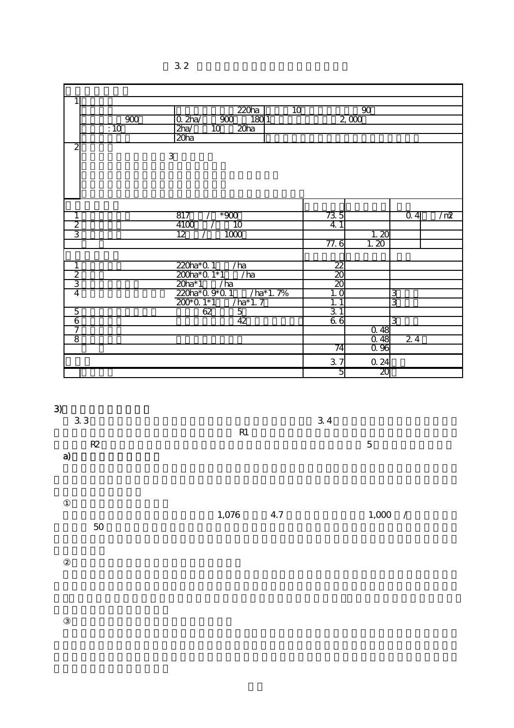| 1                       |                                               |                  |       |                |     |
|-------------------------|-----------------------------------------------|------------------|-------|----------------|-----|
|                         | 220 <sub>ha</sub>                             | 10               | 90    |                |     |
| $\overline{900}$        | 0.2 <sub>ha</sub><br>$\overline{900}$<br>1801 |                  | 2,000 |                |     |
| :10                     | 2ha/<br>20ha<br>10                            |                  |       |                |     |
|                         | 20 <sub>ha</sub>                              |                  |       |                |     |
| $\overline{\mathbf{c}}$ |                                               |                  |       |                |     |
| $\,3$                   |                                               |                  |       |                |     |
|                         |                                               |                  |       |                |     |
|                         |                                               |                  |       |                |     |
|                         |                                               |                  |       |                |     |
|                         |                                               |                  |       |                |     |
|                         |                                               |                  |       |                |     |
| $\mathbf{1}$            | 817<br>$*900$                                 | 73.5             |       | Q 4            | /m2 |
| $rac{2}{3}$             | 10<br>4100                                    | 4.1              |       |                |     |
|                         | $\overline{12}$<br>1000                       |                  | 1, 20 |                |     |
|                         |                                               | 77.6             | 1.20  |                |     |
|                         |                                               |                  |       |                |     |
| $\mathbf{1}$            | $220a*0.1$<br>/ha                             | $\overline{22}$  |       |                |     |
| $\frac{2}{3}$           | 200ha*0.1*1<br>$/\text{ha}$                   | $\overline{20}$  |       |                |     |
|                         | 20 <sup>h</sup> 1<br>/ha                      | 20               |       |                |     |
| $\overline{4}$          | 220ha*0.9*0.1<br>$/ha*1.7%$                   | $1.\overline{0}$ |       | 3              |     |
|                         | 200*0.1*1<br>$/ha*1.7$                        | 1.1              |       | $\overline{3}$ |     |
| $\overline{5}$          | 62<br>$\overline{5}$                          | 31               |       |                |     |
| $\overline{6}$          | 42                                            | 6.6              |       | 3              |     |
| 7                       |                                               |                  | 0.48  |                |     |
| $\overline{8}$          |                                               |                  | 0.48  | 24             |     |
|                         |                                               | 74               | 0.96  |                |     |
|                         |                                               | 3.7              | 0.24  |                |     |
|                         |                                               | 5                | 20    |                |     |

3)  $33$  $3.3$   $3.4$  $R1$  $R2 \t 5$ a) and the state of  $\lambda$  $1,076$   $4.7$   $1,000$  /

 $50$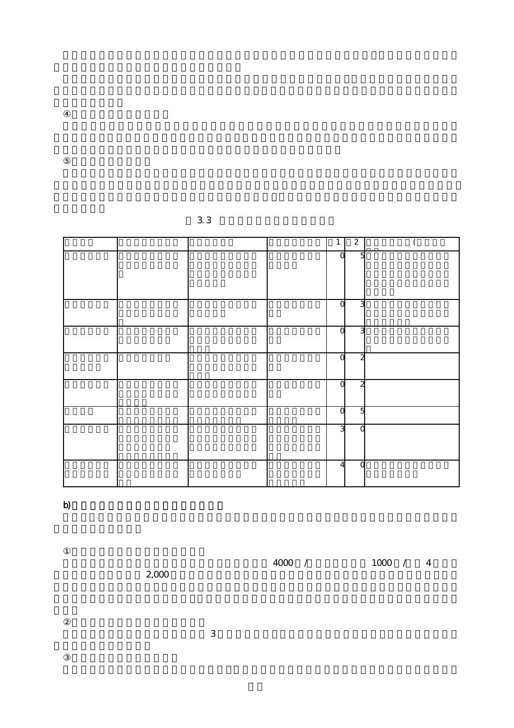| $\overline{4}$ | 3        | C | C              | $\Omega$       | $\Omega$ | $\Omega$ | $\Omega$       | $\mathbf{1}$     |
|----------------|----------|---|----------------|----------------|----------|----------|----------------|------------------|
| $\Omega$       | $\Omega$ | 5 | $\overline{c}$ | $\overline{c}$ | ω        | 3        | $\overline{5}$ | $\boldsymbol{2}$ |
|                |          |   |                |                |          |          |                |                  |

b)提案事業方式方式の事業優位性と課題

 $2,000$ 

 $3$ 

 $\frac{4000}{ }$  /  $\frac{1000}{ }$  /  $\frac{4}{ }$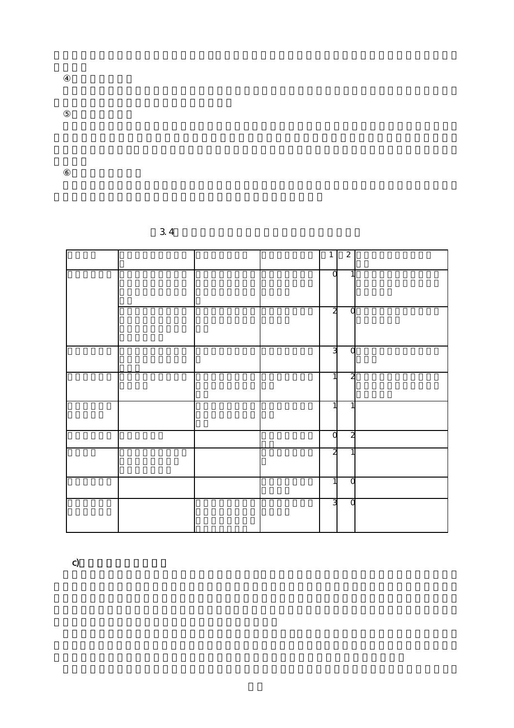|  |  | $\mathbf{1}$   | 2            |  |
|--|--|----------------|--------------|--|
|  |  | $\Omega$       | $\mathbf{1}$ |  |
|  |  | $\overline{c}$ | C            |  |
|  |  | 3              | C            |  |
|  |  | 1              | $\mathbf{z}$ |  |
|  |  | 1              | 1            |  |
|  |  | Ω              | λ            |  |
|  |  | $\overline{c}$ | 1            |  |
|  |  | 1              | ∩            |  |
|  |  | 3              | O            |  |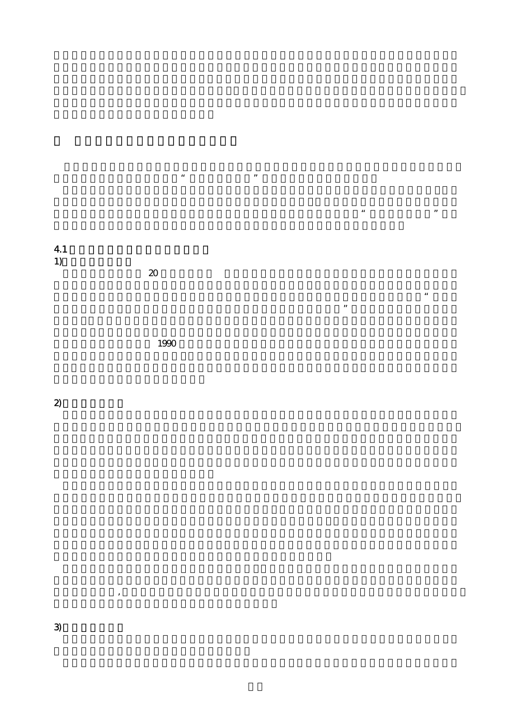$4.1$  $\frac{4.1}{1}$  $20$ 

 $\frac{1}{\sqrt{1-\frac{1}{\sqrt{1-\frac{1}{\sqrt{1-\frac{1}{\sqrt{1-\frac{1}{\sqrt{1-\frac{1}{\sqrt{1-\frac{1}{\sqrt{1-\frac{1}{\sqrt{1-\frac{1}{\sqrt{1-\frac{1}{\sqrt{1-\frac{1}{\sqrt{1-\frac{1}{\sqrt{1-\frac{1}{\sqrt{1-\frac{1}{\sqrt{1-\frac{1}{\sqrt{1-\frac{1}{\sqrt{1-\frac{1}{\sqrt{1-\frac{1}{\sqrt{1-\frac{1}{\sqrt{1-\frac{1}{\sqrt{1-\frac{1}{\sqrt{1-\frac{1}{\sqrt{1-\frac{1}{\sqrt{1-\frac{1}{\sqrt{1-\frac{1$ 

 $\mu$  , and the set of the set of the set of the set of the set of the set of the set of the set of the set of the set of the set of the set of the set of the set of the set of the set of the set of the set of the set of t

 $\alpha$  $\overline{\phantom{a}}$ 

 $1990$ 

 $\mathcal{L}_{\mathcal{A}}$ 

 $\overline{2}$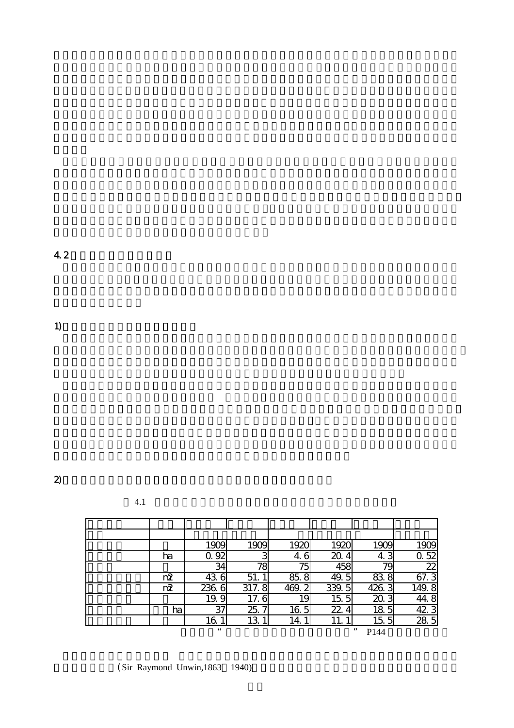$4.2$ 

1) and  $\lambda$ 

 $2$ 

 $4.1$ 

|               | 1909     | 1909                   | 1920      | 1920                   | 1909           | 1909            |
|---------------|----------|------------------------|-----------|------------------------|----------------|-----------------|
| ha            | 92       |                        | 6<br>4.   | 20.                    | ঽ<br>4.        | $\overline{52}$ |
|               | 34       | 78                     | 75        | 458                    | 79             | 22              |
| $n\mathbf{2}$ | 43.<br>6 | 51.                    | 85.<br>8  | 49.<br>5               | 83<br>8        | 67.3            |
| $n\mathbf{2}$ | 6<br>236 | 317.<br>8              | 2<br>469. | 339.<br>$\overline{5}$ | 426<br>3       | 149.<br>8       |
|               | 19.<br>9 | $\overline{17}$ .<br>6 | 19        | 15.<br>5               | 20.<br>3       | 44.<br>8        |
| ha            | 37       | $\overline{25}$        | 16.<br>5  | 22.                    | 18<br>5        | 42.3            |
|               | 16.      | 13.                    | 14.       |                        | 15.<br>5       | 28.5            |
|               | 66       |                        |           |                        | , 2, 3<br>P144 |                 |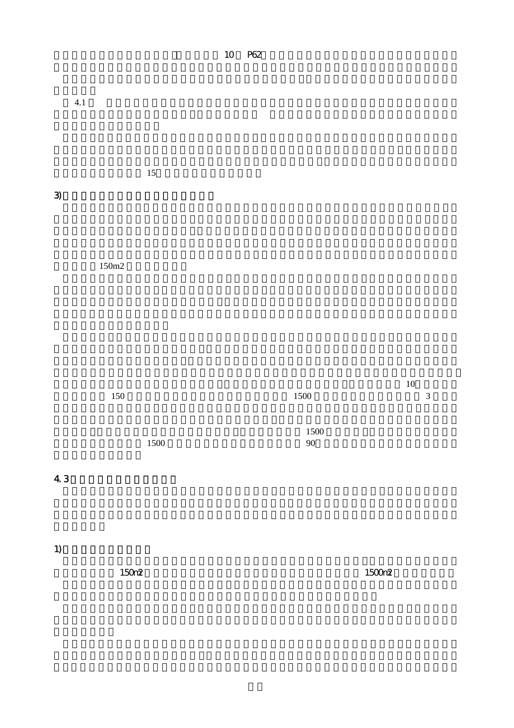10 P62

 $4.1$ 

 $15$ 

 $3)$ 

 $150m2$ 

 $10$ 150 and 150 and 1500 and 1500 and 3 use 3 use 3 use 3 use 3 use 3 use 3 use 3 use 3 use 3 use 3 use 3 use 3 use 3 use 3 use 3 use 3 use 3 use 3 use 3 use 3 use 3 use 3 use 3 use 3 use 3 use 3 use 3 use 3 use 3 use 3 use 3

 $1500$ 

 $1500$   $90$ 

4.3

1) and  $\Gamma$ 

 $150n2$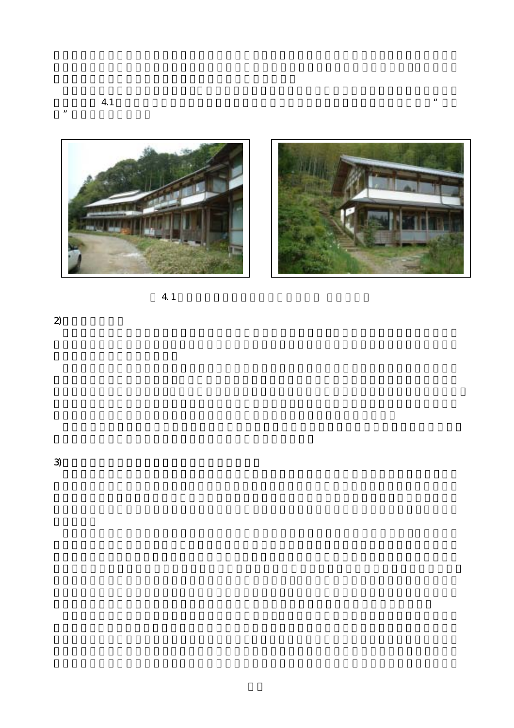







 $\overline{c}$ 

 $3)$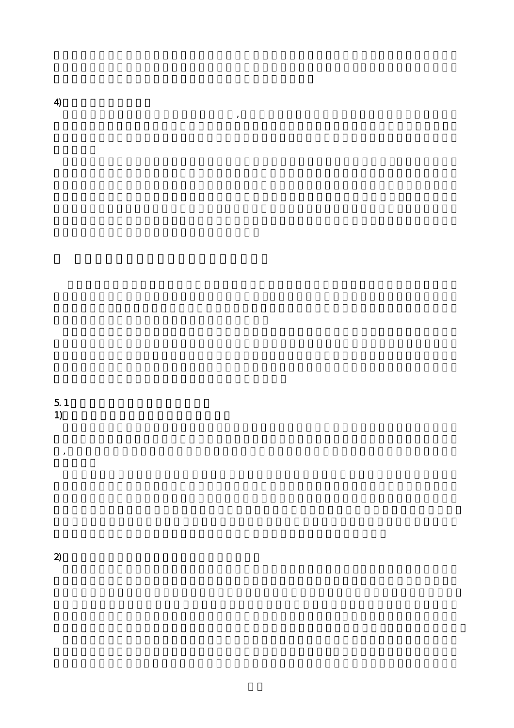$\left(4\right)$ 

 $\mathcal{A}$ 

 $\mathcal{A}$ 

 $\frac{5}{1}$  $1)$ 

 $\boldsymbol{z}$  $2$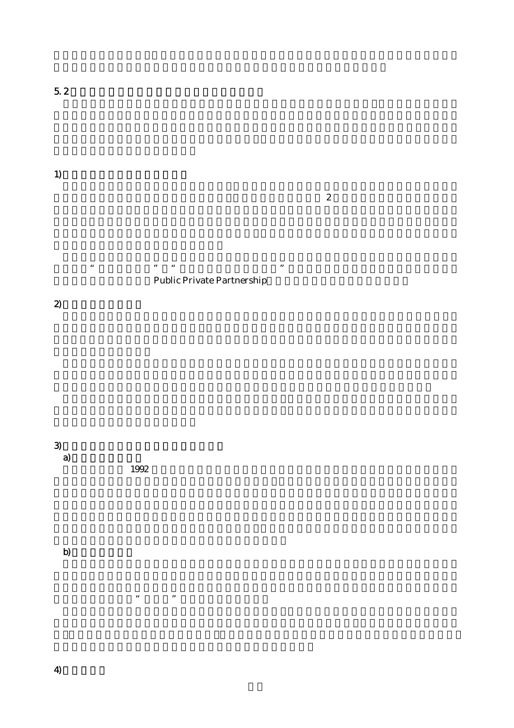1) and  $\overline{z}$ 

 $\boldsymbol{2}$ 

 $\mathbf 2$ 

 $\frac{1}{2}$  the contract of the contract the contract term is the contract of the contract of the contract of the contract of the contract of the contract of the contract of the contract of the contract of the contract of t Public Private Partnership

 $3$ a)  $1992$ 

 $\kappa$ 

 $2)$ 

b)

 $\overline{4}$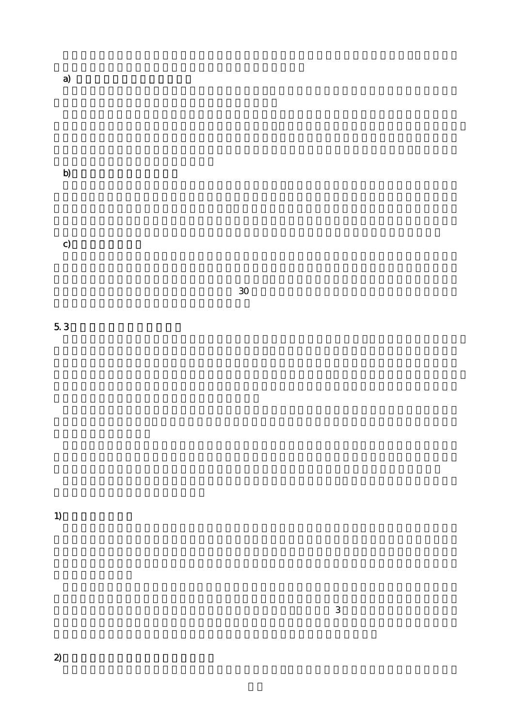a) スケルトン・インフィルトン・インフィルトン・インフィル

b) the contract of the contract of the contract of the contract of the contract of the contract of the contract of the contract of the contract of the contract of the contract of the contract of the contract of the contrac

 $c)$ 

 $30$ 

 $5.3$   $1.3$ 

1) and  $\overline{a}$ 

 $\overline{\textbf{3}}$ 

 $\boldsymbol{2}$  $2$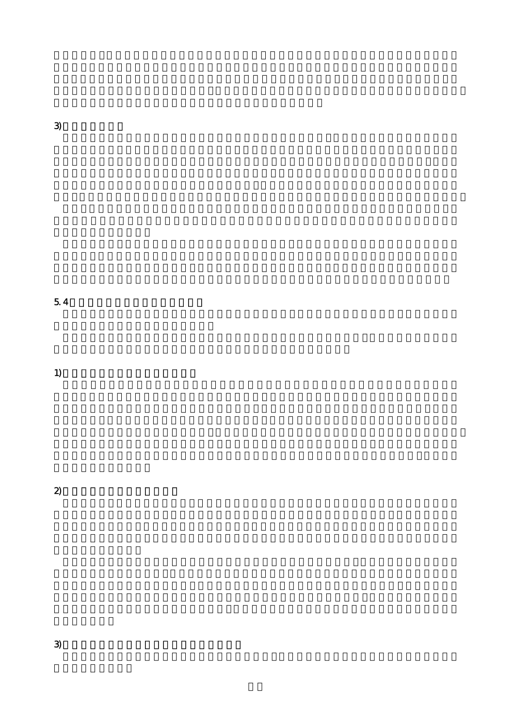$3)$ 

# $5.4$

 $\overline{1}$ 1) and  $\overline{a}$ 

 $\boldsymbol{2}$  $2)$ 

 $3)$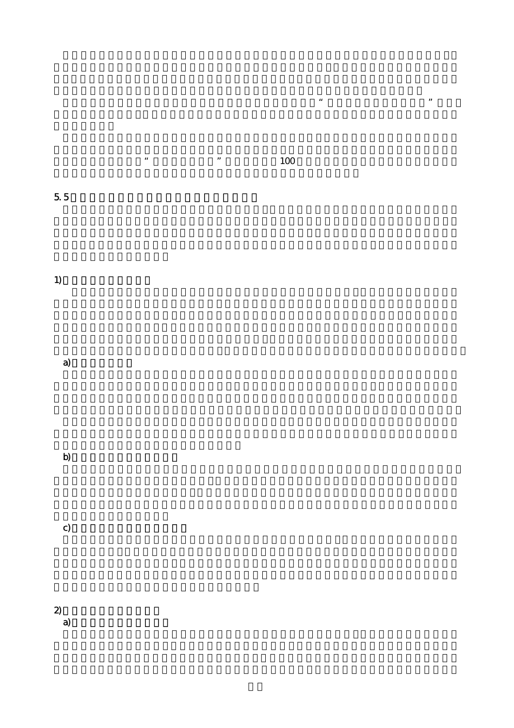$5.5$ 1) and  $\overline{z}$ a)

b)

c) and the contract of the contract of the contract of the contract of the contract of the contract of the contract of the contract of the contract of the contract of the contract of the contract of the contract of the con

 $2$ ) and  $2$ a) and the state  $\lambda$ 

して間接的に保有する"不動産の証券化"を導入した.100 年前に構想された事業方式はまさに権利

 $\alpha$  and  $\alpha$  and  $\alpha$  and  $\alpha$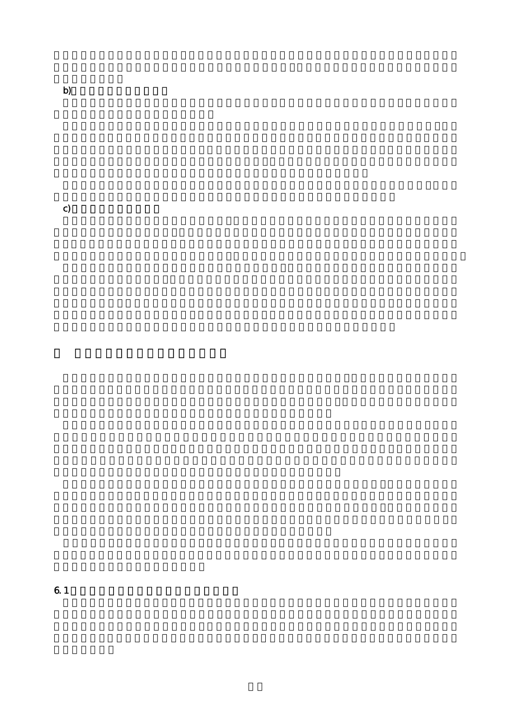b)

c) これをこれる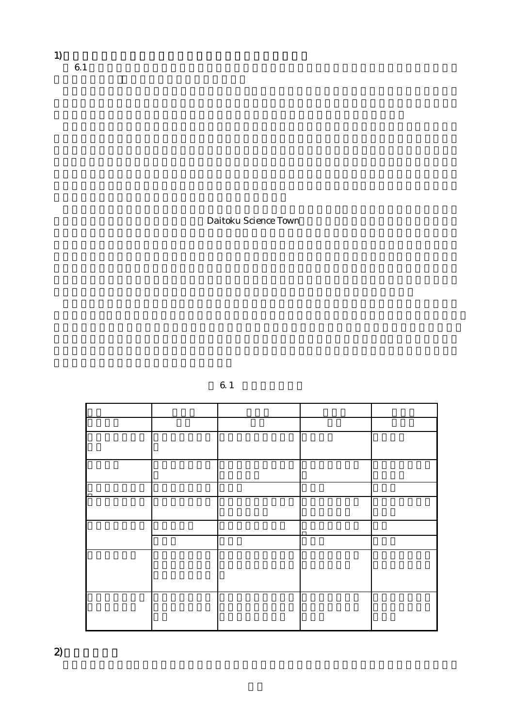1)

Daitoku Science Town

 $6.1$ 

| 6 <sub>1</sub> |
|----------------|
|----------------|

 $\overline{2}$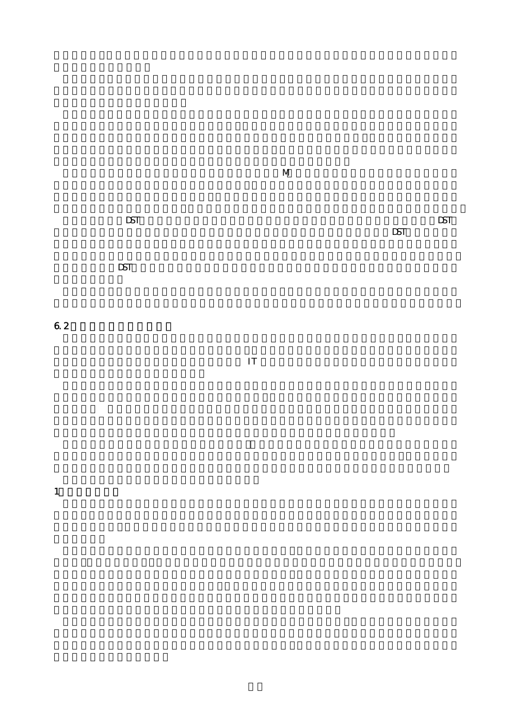$\Box$ ST  $\Box$  $\overline{DST}$ 

 $\mathbf M$ 

 $\Box$ 

 $6.2$ 

 $IT$ 

1) and  $\sim$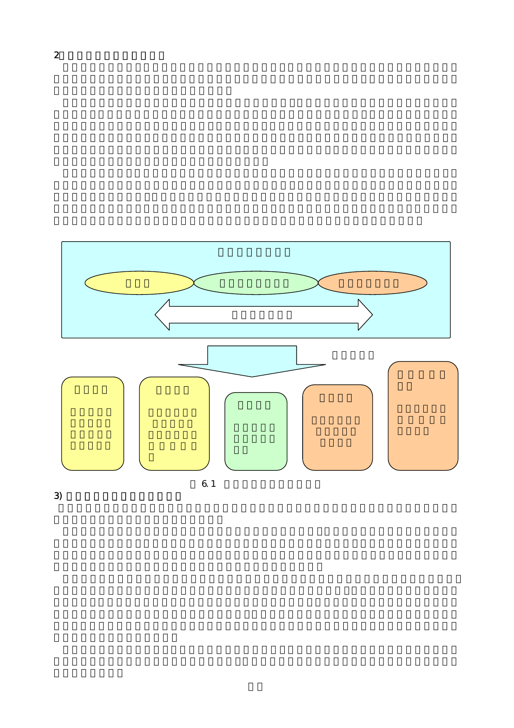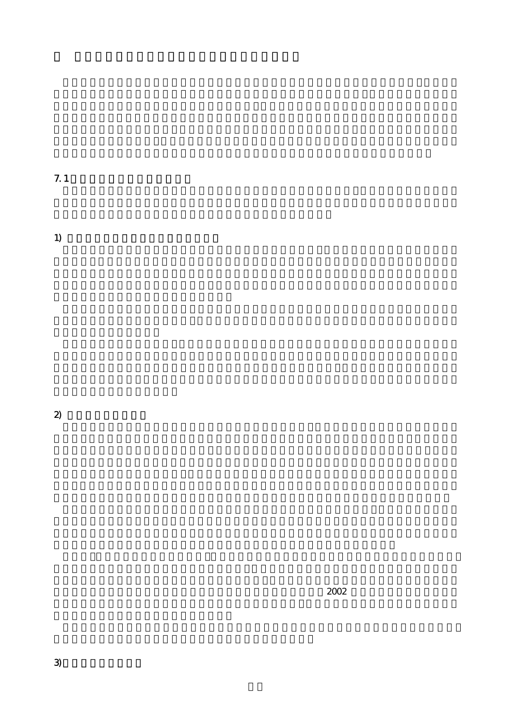$7.1$   $7.3$ 

1)  $\blacksquare$ 

 $2\,$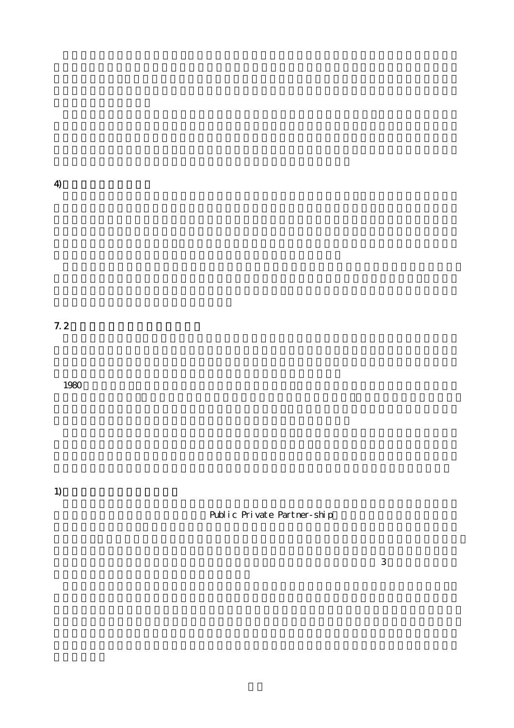$\ket{4}$ 

 $7.2$ 

 $1980$ 

 $\overline{1}$ 1) and  $\overline{z}$ 

Public Private Partner-ship

 $3$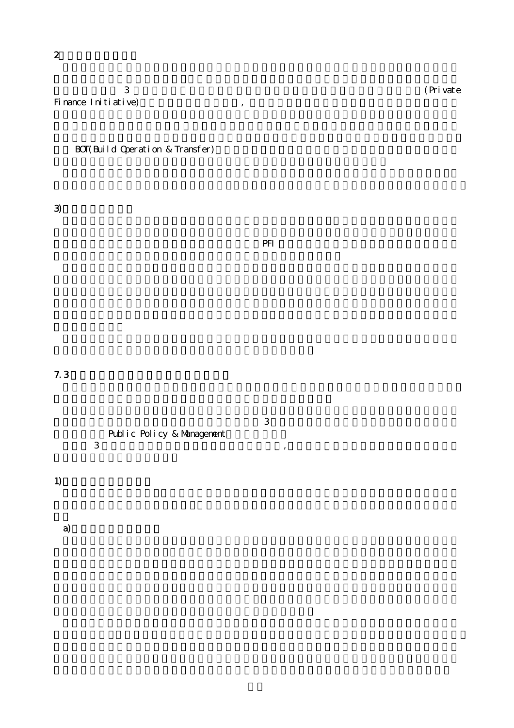2) and  $\mathbf{z}$ 

 $\sim$  3  $\sim$  2  $\sim$  2  $\sim$  2  $\sim$  2  $\sim$  2  $\sim$  2  $\sim$  2  $\sim$  2  $\sim$  2  $\sim$  2  $\sim$  2  $\sim$  2  $\sim$  2  $\sim$  2  $\sim$  2  $\sim$  2  $\sim$  2  $\sim$  2  $\sim$  2  $\sim$  2  $\sim$  2  $\sim$  2  $\sim$  2  $\sim$  2  $\sim$  2  $\sim$  2  $\sim$  2  $\sim$  2  $\sim$  2  $\sim$  2  $\sim$ Finance Initiative),

BOT(Build Operation & Transfer)

 $3)$ 

 $PFT$ 

#### $7.3$

 $\sim$  3  $\sim$  3  $\sim$   $\sim$  3 Public Policy & Management  $\overline{3}$  or  $\overline{3}$ 

## 1) and  $\lambda$

a)組織の内部化と外部化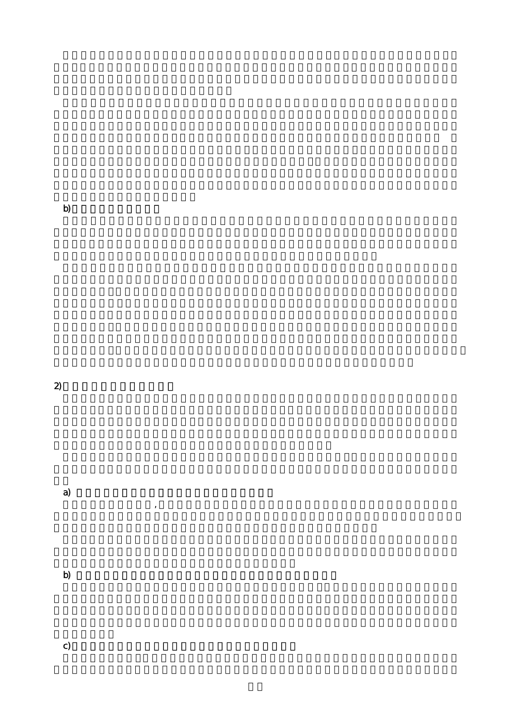b)意思決定過程の透明化

 $2)$ 

a) the  $\alpha$ :  $\alpha$  -ratio  $\alpha$ :  $\alpha$  -ratio  $\alpha$ :  $\alpha$  -ratio  $\alpha$  $\lambda$ 

b)  $\Box$ 

c)事業評価認定機能C:中立な事業評価を担う第3者機関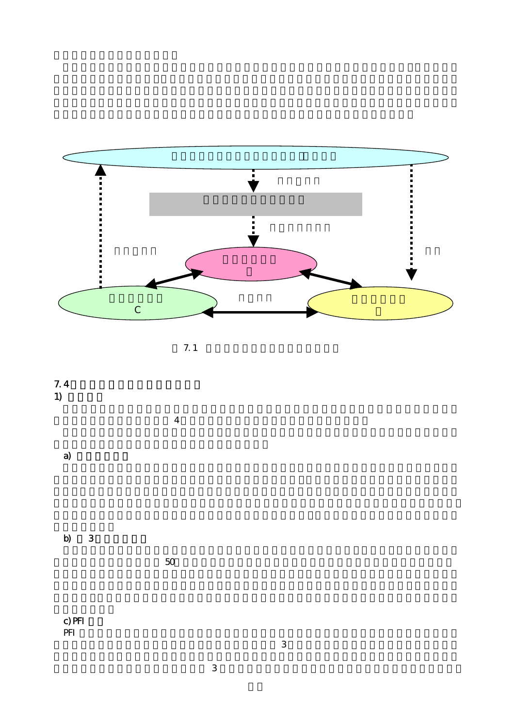

 $7.1$ 

# $7.4$

1) 組織形態  $4$ a) 公設民営方式

b)  $3$ 

 $50$ 

c) PFI  $PFT$ 

 $3$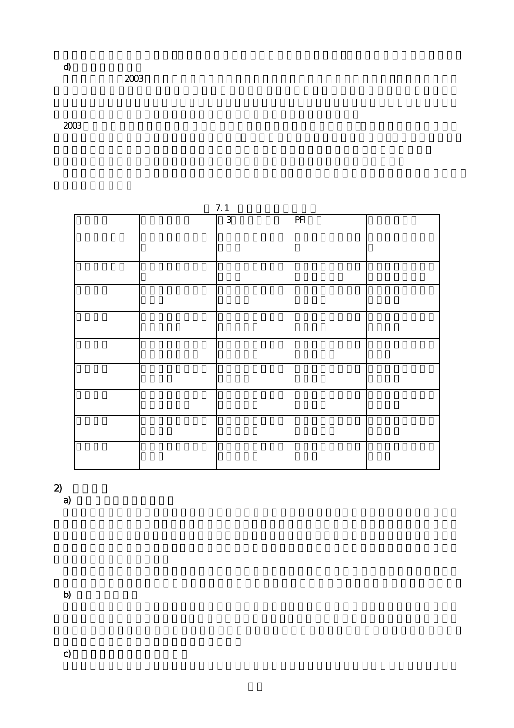d)特許民間株式会社

 $2003$ 

2003  $\frac{1}{\sqrt{2}}$ 

| 7.1 |  |                |     |  |  |  |  |
|-----|--|----------------|-----|--|--|--|--|
|     |  | $\overline{3}$ | PFT |  |  |  |  |
|     |  |                |     |  |  |  |  |
|     |  |                |     |  |  |  |  |
|     |  |                |     |  |  |  |  |
|     |  |                |     |  |  |  |  |
|     |  |                |     |  |  |  |  |
|     |  |                |     |  |  |  |  |
|     |  |                |     |  |  |  |  |
|     |  |                |     |  |  |  |  |
|     |  |                |     |  |  |  |  |

 $\overline{2}$  and  $\overline{2}$  and  $\overline{2}$  and  $\overline{2}$  and  $\overline{2}$  and  $\overline{2}$  and  $\overline{2}$  and  $\overline{2}$  and  $\overline{2}$  and  $\overline{2}$  and  $\overline{2}$  and  $\overline{2}$  and  $\overline{2}$  and  $\overline{2}$  and  $\overline{2}$  and  $\overline{2}$  and  $\overline{2}$  and

a) and the contract of the contract of the contract of the contract of the contract of the contract of the contract of the contract of the contract of the contract of the contract of the contract of the contract of the con

b)

c)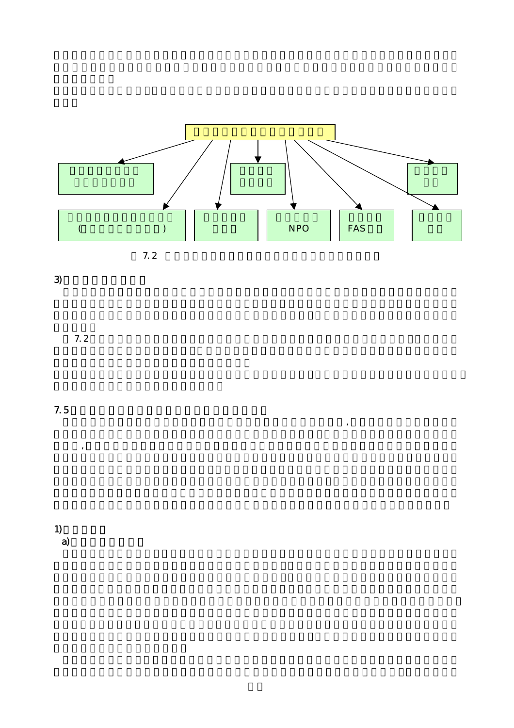



 $7.2$ 

#### $7.5$

この事業推進調整機能は広義のプロジェクトマネジメント機能であり,特に公的事業の事業創設段  $\lambda$ 

 $1)$ a) and the set of  $\alpha$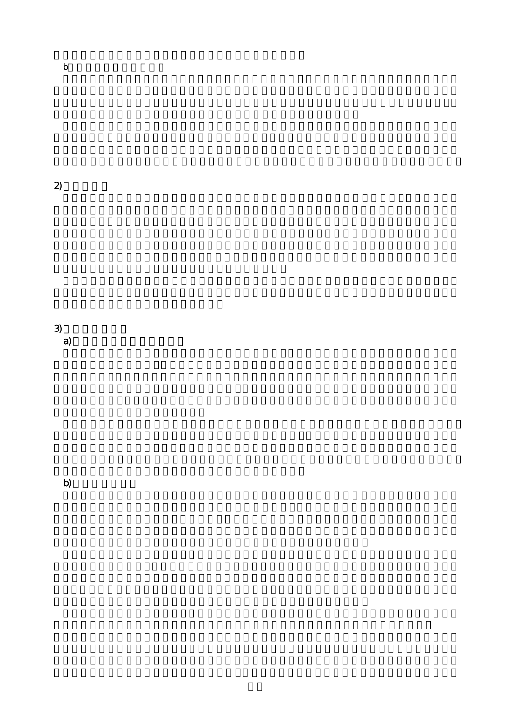b) and  $\mathbf b$ 

# $\overline{2}$

 $3)$ a) and the state of the state of the state of the state of the state of the state of the state of the state of

b)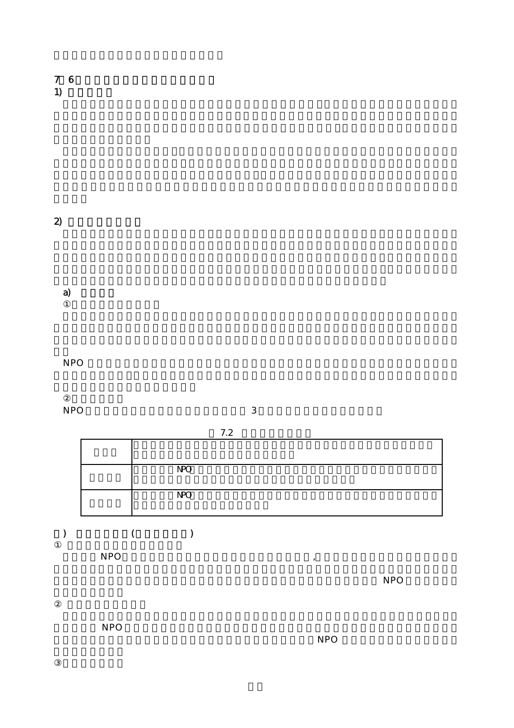$7.6$ 1) 組織の目的

 $\boldsymbol{z}$ 

a)

 $NPO$ 

 $NPO$  3

|                | 7.2 |  |
|----------------|-----|--|
|                |     |  |
|                |     |  |
| N <sub>2</sub> |     |  |
|                |     |  |
| N <sub>2</sub> |     |  |
|                |     |  |
|                |     |  |

 $\begin{array}{ccc} \text{\large(13)}\\ \text{\large(14)}\\ \text{\large(14)}\\ \text{\large(1)}\\ \text{\large(1)}\\ \text{\large(1)}\\ \text{\large(1)}\\ \text{\large(1)}\\ \text{\large(1)}\\ \text{\large(1)}\\ \text{\large(1)}\\ \text{\large(1)}\\ \text{\large(1)}\\ \text{\large(1)}\\ \text{\large(1)}\\ \text{\large(1)}\\ \text{\large(1)}\\ \text{\large(1)}\\ \text{\large(1)}\\ \text{\large(1)}\\ \text{\large(1)}\\ \text{\large(1)}\\ \text{\large(1)}\\ \text{\large(1)}\\ \text{\large(1)}\\ \text{\large(1)}\\ \text$ 

 $NPO$ ,

 $NPO$ 

 $NPO$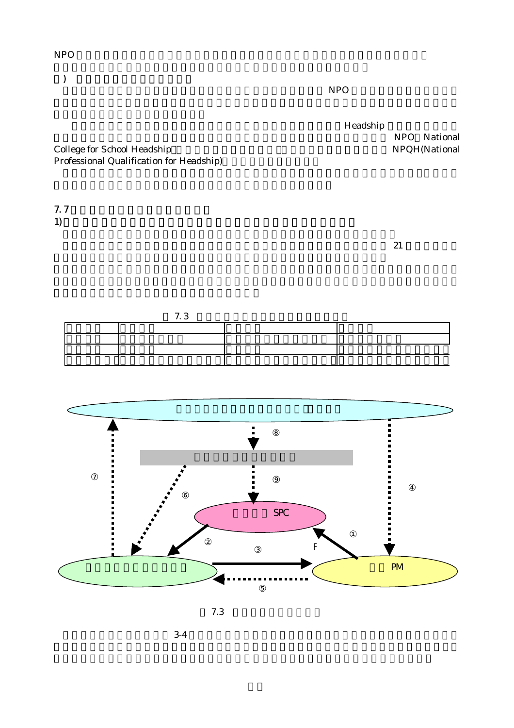$NPO$ 

 $\lambda$ 

 $NPO$ 

Headship NPO National<br>NPQH(National

College for School Headship Professional Qualification for Headship)



 $21$ 





 $7.3$ 

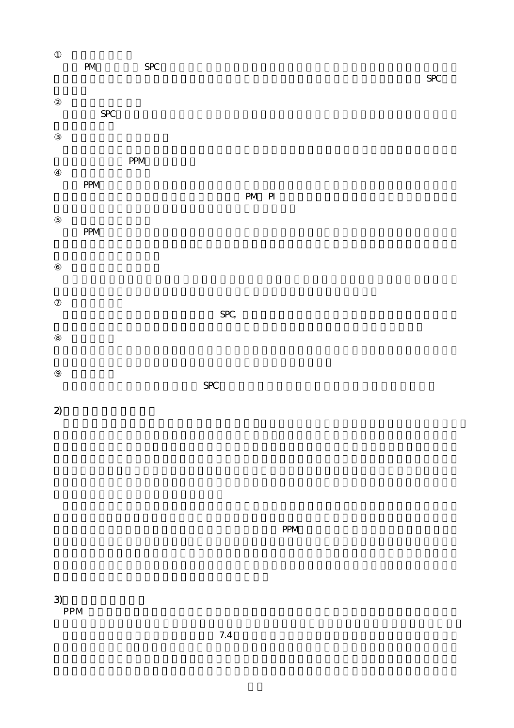| PM         | SPC |  |  | <b>SPC</b> |
|------------|-----|--|--|------------|
| <b>SPC</b> |     |  |  |            |
|            | PPM |  |  |            |
| PPM        |     |  |  |            |

 $PM$  PM  $P$ 

 $PPM$ 

 $SPC$ ,  $\ldots$   $SPC$ 

 $SPC$ 

 $2$ 

3)<br>PPM PPM  $\mathsf{PPM}$ 

 $P$ PM  $\blacksquare$ 

 $7.4$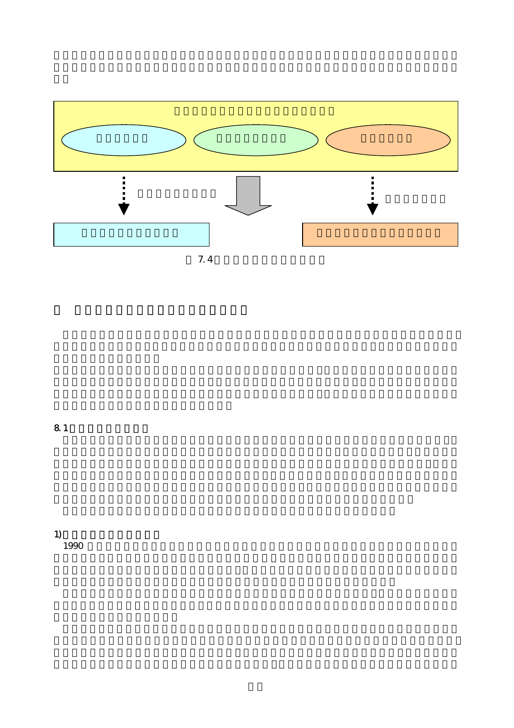

8.1

1) and  $\overline{z}$  $1990$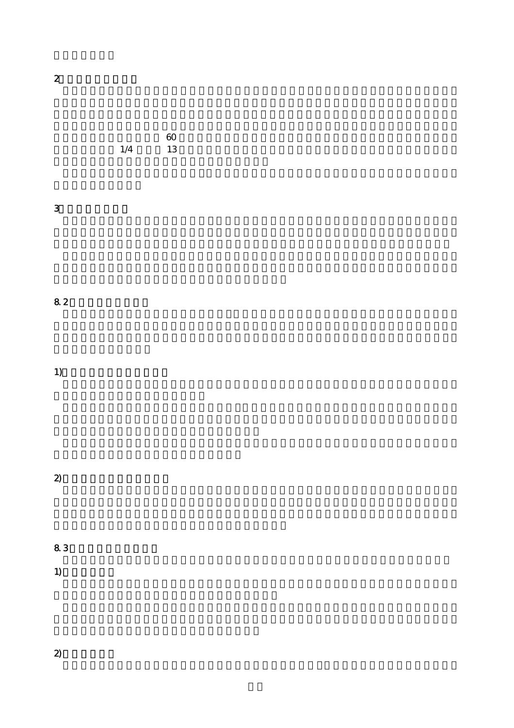$\overline{\mathbf{c}}$ 2) and the contract of  $\mathbf{z}$ 

 $60$  $1/4$  ,  $13$ 

 $3 \hskip 1.5cm$ 

8<sub>2</sub>

 $\overline{1}$ 1) and the term of  $\mathbf{1}$ 

 $2)$ 

8.3 見えない市場への対応

1)

 $\overline{2}$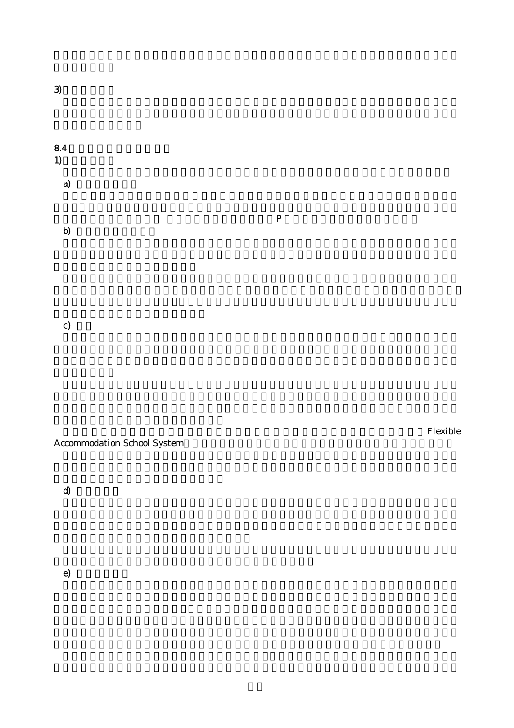$8.4$ 1) a) **P** b) and a strong strong strong strong strong strong strong strong strong strong strong strong strong strong str

c) 創知

 $\overline{3}$ 

Accommodation School System

d) 雇用の創出

e)

 $F$ lexible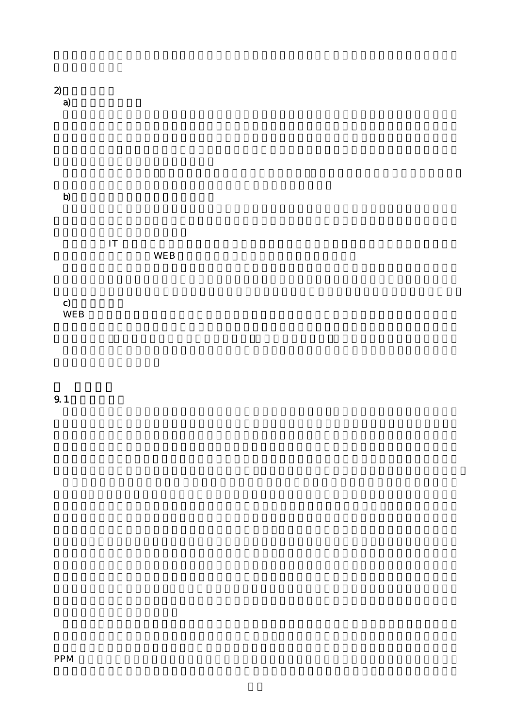| $\begin{array}{c} 2 \\ a) \end{array}$ |  |  |  |
|----------------------------------------|--|--|--|
|                                        |  |  |  |
| b)                                     |  |  |  |

 $IT$  $\bf{WEB}$ 

c)<br>WEB  $WEB$ 

 $9.1$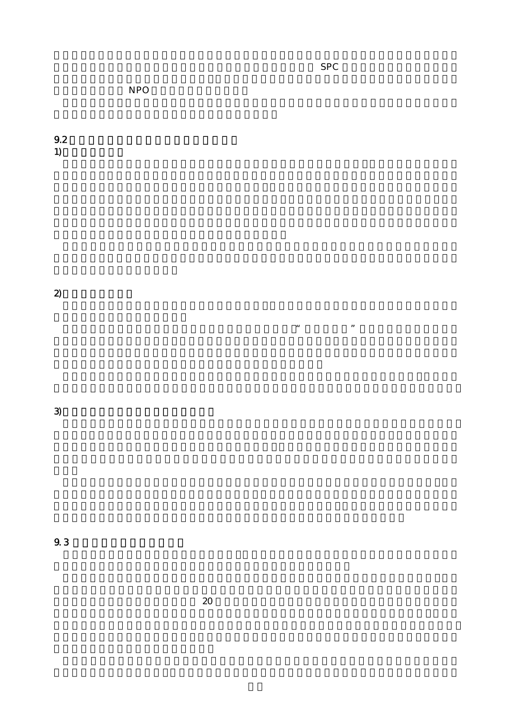$SPC$ 

**NPO** 

 $9.2$  $\overline{1}$ 

 $\boldsymbol{z}$  $2)$ 

 $3$ 

 $9.3$ 

 $\alpha$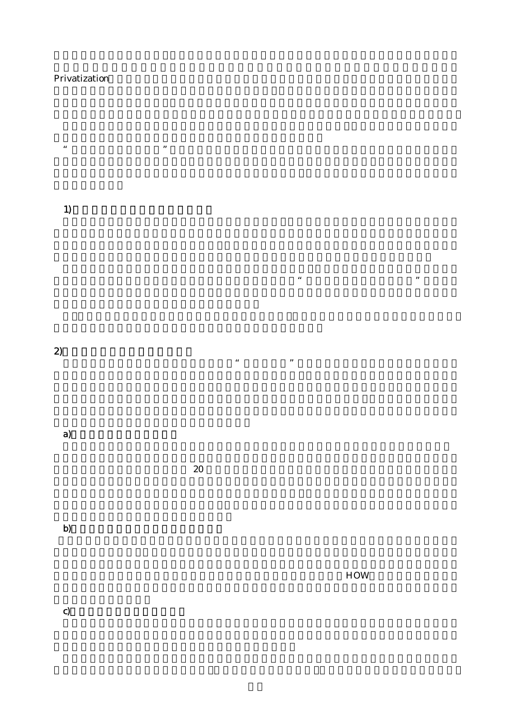#### Privatization

 $2)$ 

 $\overline{1}$ 

 $1)$ 

a) and the set of  $\mathbf{a}$ 

b)

c)

 $HOW$ 

"創知の杜コミュニティ"という革新的プロジェクトの構想から実現性を高める事業手法の提案そ

 $\frac{1}{2} \frac{1}{2} \frac{1}{2} \frac{1}{2} \frac{1}{2} \frac{1}{2} \frac{1}{2} \frac{1}{2} \frac{1}{2} \frac{1}{2} \frac{1}{2} \frac{1}{2} \frac{1}{2} \frac{1}{2} \frac{1}{2} \frac{1}{2} \frac{1}{2} \frac{1}{2} \frac{1}{2} \frac{1}{2} \frac{1}{2} \frac{1}{2} \frac{1}{2} \frac{1}{2} \frac{1}{2} \frac{1}{2} \frac{1}{2} \frac{1}{2} \frac{1}{2} \frac{1}{2} \frac{1}{2} \frac{$ 

 $\overline{\phantom{a}}$ 

 $20$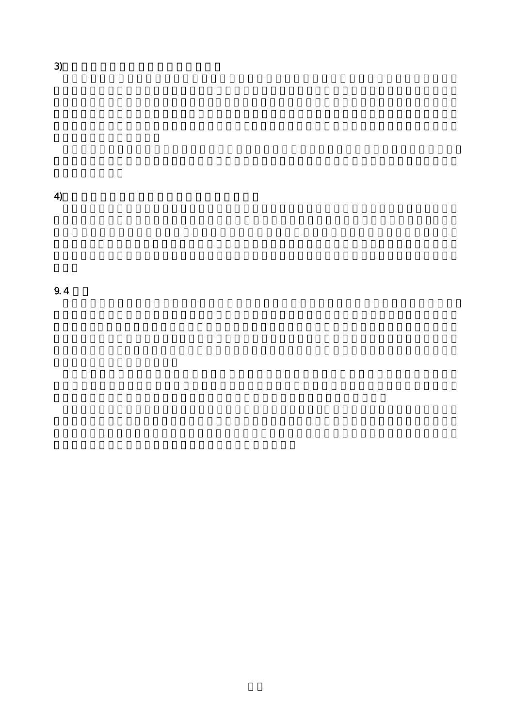$3)$  $3)$ 

 $\overline{4}$  $\overline{4}$ )

 $9.4$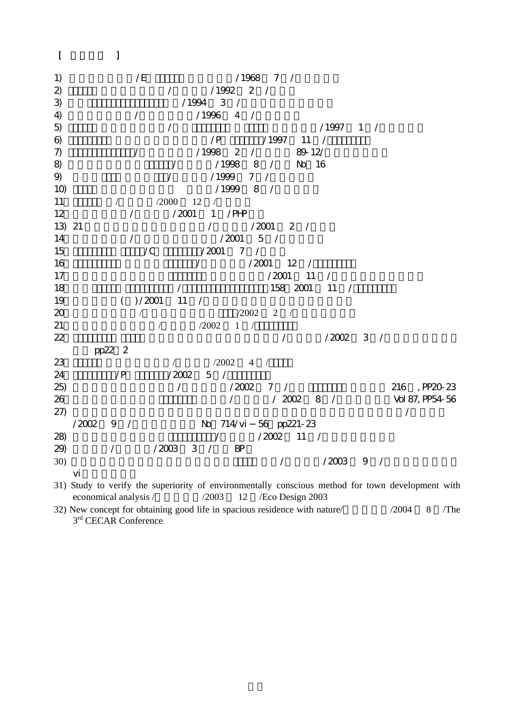## $[$   $]$

1)  $/E$  /1968 7 /  $2)$  /  $/1992$   $2$  /  $3)$  /1994  $3$  / 4)  $/$   $/1996$  4  $/$ 5) ヘルシンキ・森と生きる都市/日本フィンランド都市セミナー実行委員会編/1997 年 1 月/市谷出版社 6)  $/$ P $/1997$   $11$   $/$  $7)$  /  $/1998$   $2$  /  $89-12/$ 8)  $/$   $/1998$  8  $/$  No.16 9) 社長のロマンは社員のフマン/永野正展/1999 年 7 月/(株)相愛 10)  $/1999 \quad 8 \quad /$ 11 /  $/2000$  12 /  $12$  /  $/2001$   $1$  /PHP 13) 21  $/2001$   $2$   $/$  $14$  /  $/2001$   $5$  / 15)イノベーションのジレンマ/C.クリスチャンセン/2001 年 7 月/翔泳社 16)コーポラティブという名のライフスタイル/山崎裕司編/2001 年 12 月/コスモ・リバティ  $17$  /2001  $11$  /  $18$  /  $158,2001,11$  /  $19$  (  $)/2001$   $11$  / 20)不動産の証券化/東京弁護士会研修センター/2002 2 /商事法務研究会  $21$  / / /2002 1 / 22) The contraction of the contraction of the contraction of the contraction of the contraction of the contraction of the contraction of the contraction of the contraction of the contraction of the contraction of the cont pp22 2  $23$  /  $/2002$  4 /  $24$  /P /2002 5 /  $25)$  /  $2002$  7 /  $216$   $P20-23$ 26 / 2002 8 / Vol87, PP54-56  $27)$ /2002 9 / No. 714/ 56 pp221-23 28)  $/202$  11  $/$  $29)$  /  $2003$  3 / BP  $30)$  /  $\sqrt{2003}$  9 /

31) Study to verify the superiority of environmentally conscious method for town development with economical analysis /  $/2003$  12 /Eco Design 2003

32) New concept for obtaining good life in spacious residence with nature/ $/2004 \times 8$  /The 3<sup>rd</sup> CECAR Conference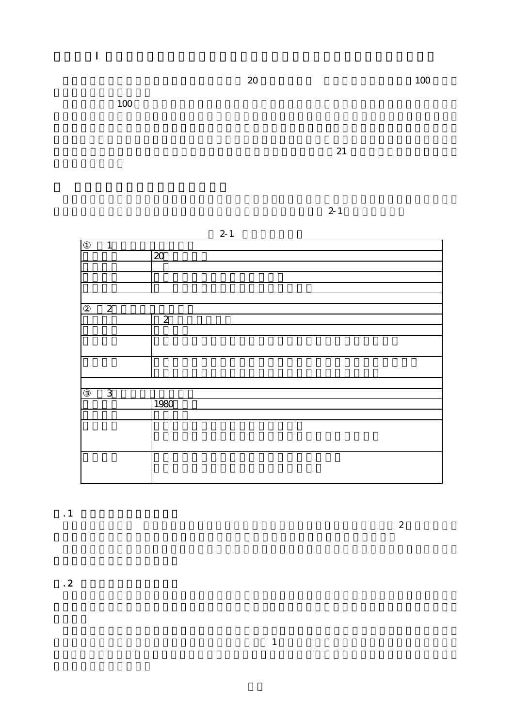$20 \hspace{1.5cm} 100$ 

 $100$ 

 $21$ 



 $2 - 1$ 



 $\mathbf 1$ 

 $\cdot$  1

 $\overline{2}$ 

 $1.2$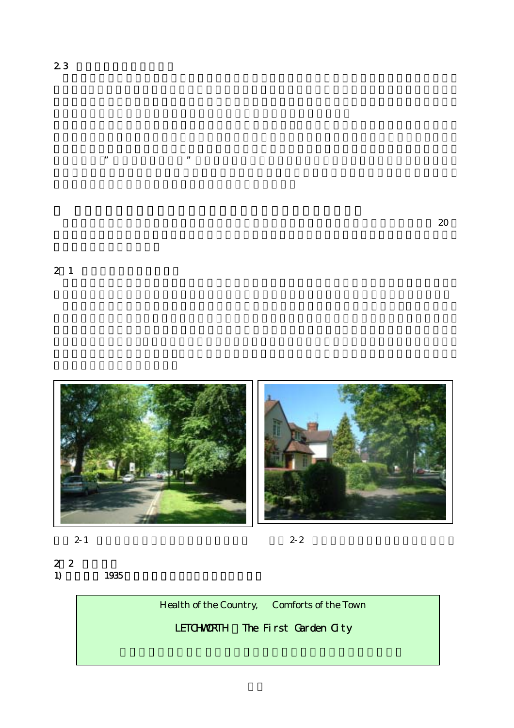$2 \quad 1$ 





- 2 2 and the set of  $\sim$
- 1) 1935  $\sqrt{1935}$



 $\cdots$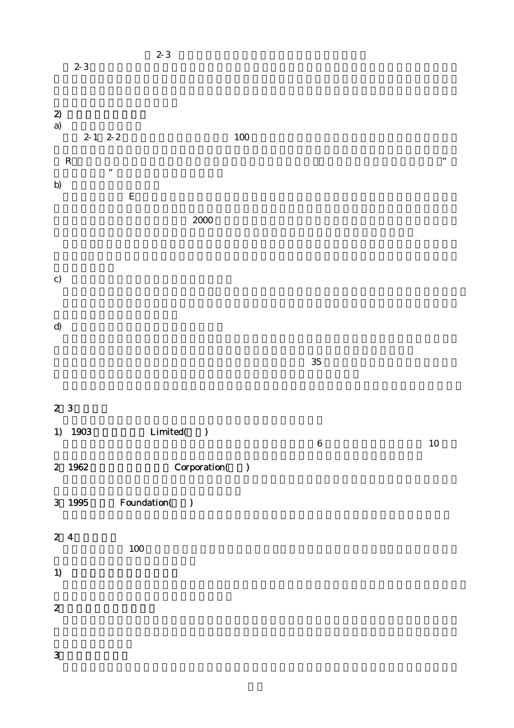|                   | $2 - 3$     |                 |           | $2 - 3$      |              |                          |            |  |                    |
|-------------------|-------------|-----------------|-----------|--------------|--------------|--------------------------|------------|--|--------------------|
| $\frac{2}{a}$     |             | $2 - 1$ $2 - 2$ |           |              |              | ${\bf 100}$              |            |  |                    |
| b)                | ${\bf R}$   | ,,              | ${\bf E}$ |              |              |                          |            |  | $\epsilon\epsilon$ |
|                   |             |                 |           |              | 2000         |                          |            |  |                    |
| c)                |             |                 |           |              |              |                          |            |  |                    |
| d)                |             |                 |           |              |              |                          |            |  |                    |
|                   |             |                 |           |              |              |                          | ${\bf 35}$ |  |                    |
| $2 \quad 3$<br>1) | <b>1903</b> |                 |           | $Limited( )$ |              |                          |            |  |                    |
|                   | 2 1962      |                 |           |              | Corporation( | $\overline{\phantom{a}}$ | $\bf 6$    |  | 10                 |

3 1995 **Foundation()** 

# $2\quad 4$

 $100$ 1)  $\blacksquare$ 2)  $\blacksquare$ 

 $\overline{\mathbf{3}}$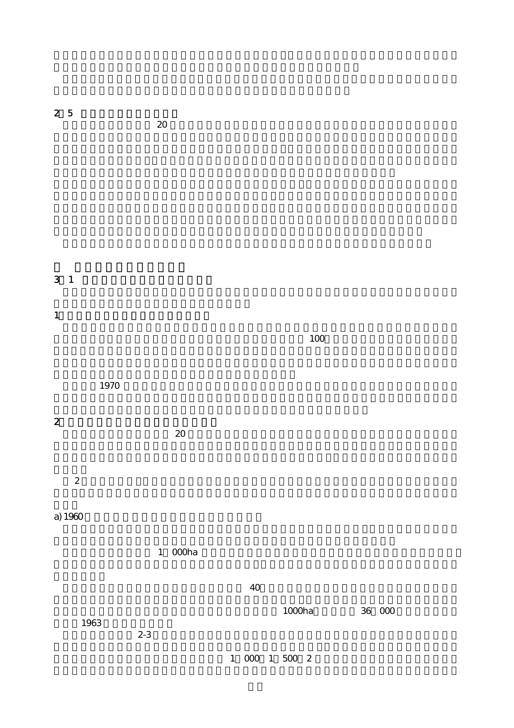2.5 レッチワース開発の意義 

 $3\quad1$ 

a) 1960 1 000ha

ha,  $36 \quad 000$ 1963  $2-3$  $2-3$ 

000 1 500 2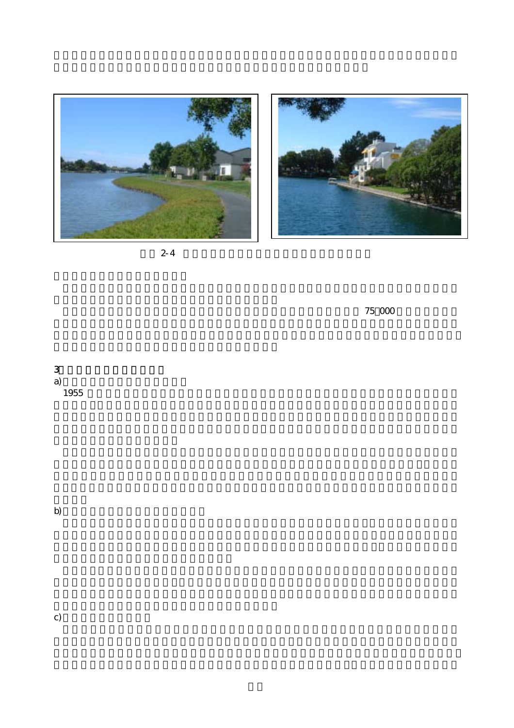



 $2-4$ 

 $75\text{ }000$ 

#### $3$ a) and the contract of the contract of the contract of the contract of the contract of the contract of the contract of the contract of the contract of the contract of the contract of the contract of the contract of the con 1955  $\blacksquare$

b)

c) こうしゃくん こうしゃくん こうしゃくん こうしゃくん こうしゃ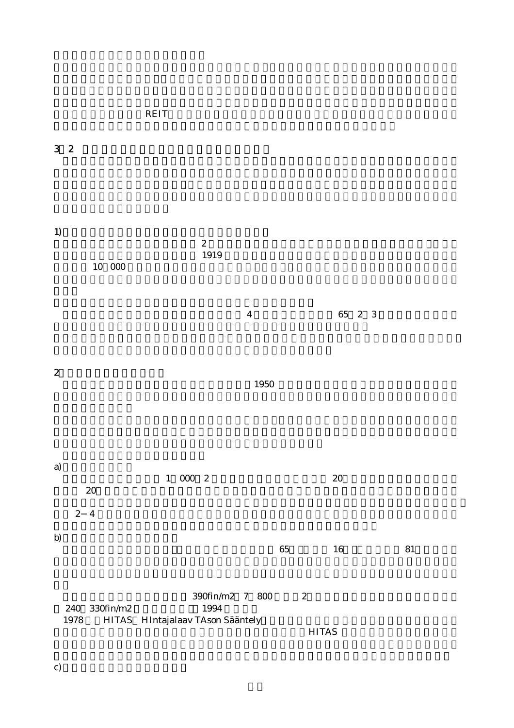$REIT$  $3\quad2$ 1)  $\blacksquare$  $\overline{2}$  $1919$  $10\quad 000$  住宅形式はフィンランドログハウスで1棟に 4 戸配置された.1戸 65 2 3 室という時代を反映  $2$  $1950$ a)  $1 \quad 000 \quad 2 \quad 20$  $20% \leq x \leq 20$  $2 \quad 4$ b) and  $\mathbf{b}$  $\overline{65}$ ,  $\overline{16}$ ,  $\overline{81}$ 390fin/m2 7 800 2 240 330fin/m2 1994 1978 HITAS HIntajalaav TAson Sääntely

 $HITAS$ 

c)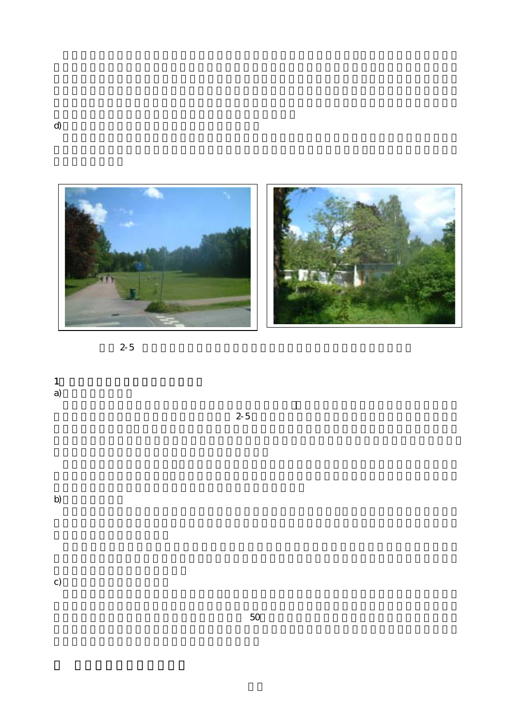



 $2-5$ 

 $1$   $\ldots$   $\ldots$   $\ldots$  $\frac{1}{a}$ 

c)

b)

 $50$ 

 $2-5$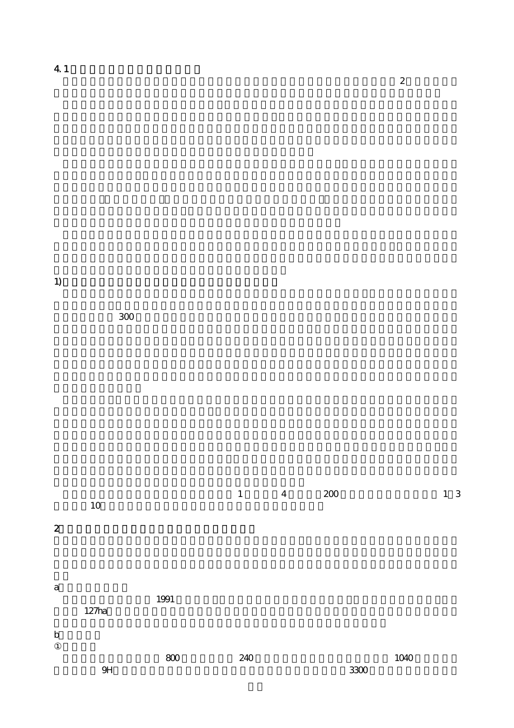1)  $\overline{\phantom{a}}$ 

 $300$ 

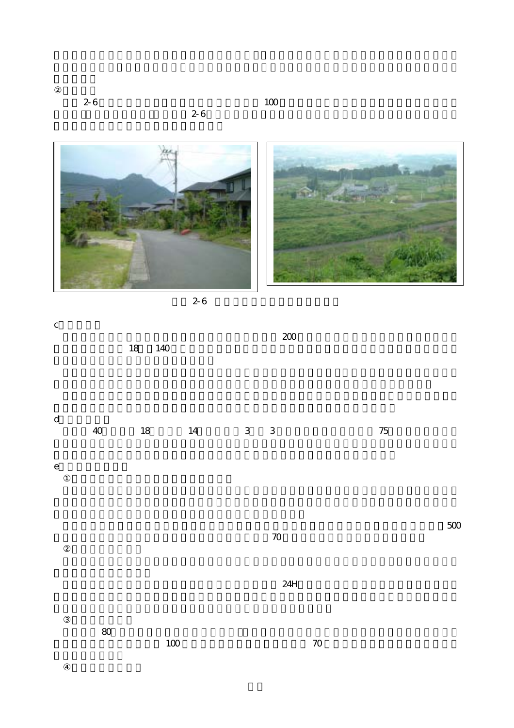$2-6$  100  $\leq$ 

 $2-6$ 







 $\overline{2-6}$ 

| ${\bf C}$                         |        | 140<br>18 |    |             | $200\,$        |       |     |
|-----------------------------------|--------|-----------|----|-------------|----------------|-------|-----|
| $\operatorname{\mathsf{d}}$       | $40\,$ | $18\,$    | 14 | $3 \quad 3$ |                | $7\!$ |     |
| $\mathsf{e}% _{t}\left( t\right)$ |        |           |    |             |                |       |     |
|                                   |        |           |    |             | $\rm 70$       |       | 500 |
|                                   |        |           |    |             | $24\mathrm{H}$ |       |     |

 $100$   $70$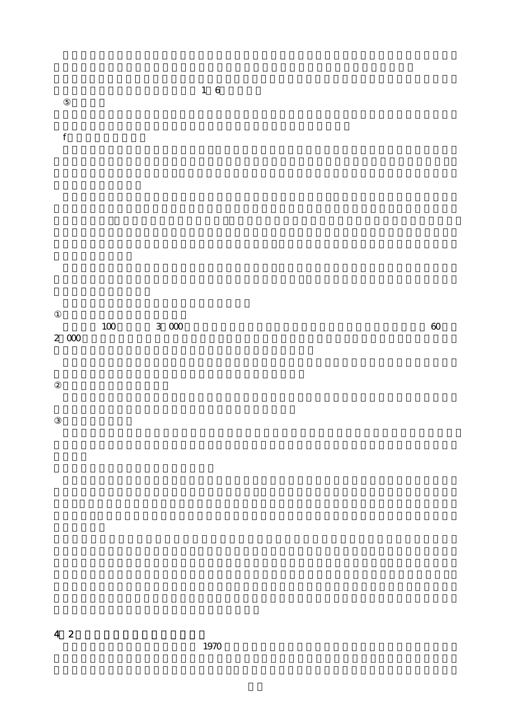| 2 000 | 100 | 3 000 |  | 60 |
|-------|-----|-------|--|----|

地元は認識しており、固定資産税も 1.6%と高い.

2,000  $\alpha$ 

f) and the state  $\mathbf f$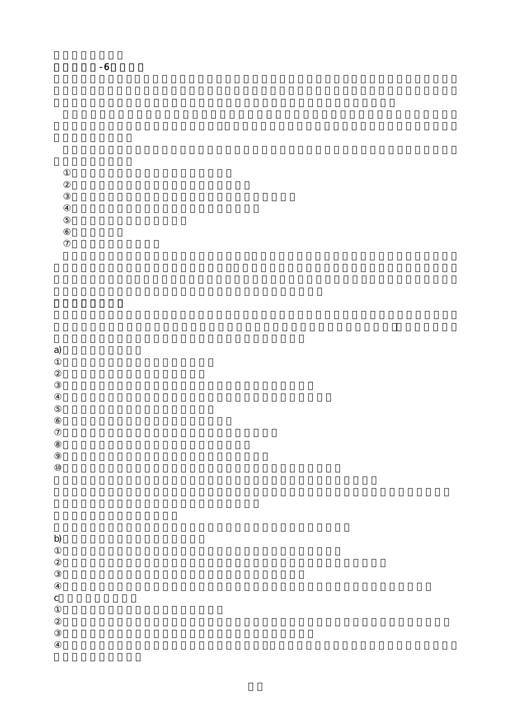a)

 $-6$ 

b) and the extension of  $\mathbf{d}$ 

c<sub>)</sub>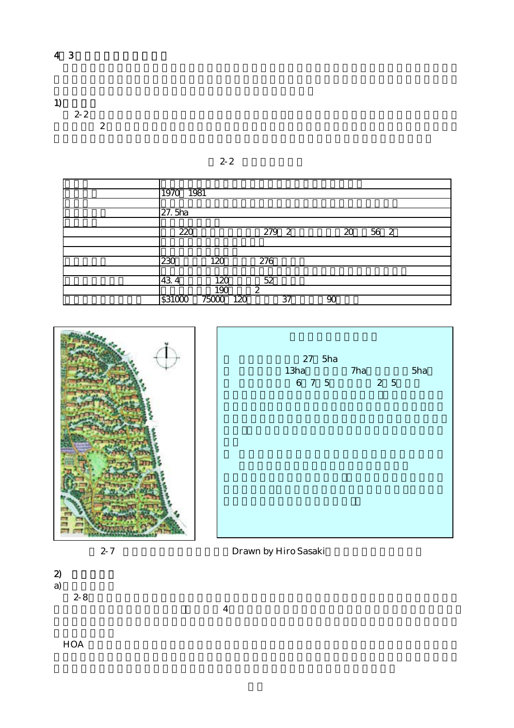1)  $2-2$  $2-2$ 

 $\overline{2}$ 

| 1970 1981          |                  |                |                 |                 |     |  |
|--------------------|------------------|----------------|-----------------|-----------------|-----|--|
|                    |                  |                |                 |                 |     |  |
| 27.5 <sub>ha</sub> |                  |                |                 |                 |     |  |
|                    |                  |                |                 |                 |     |  |
| 220                |                  | 2792           |                 | $\overline{20}$ | 562 |  |
|                    |                  |                |                 |                 |     |  |
|                    |                  |                |                 |                 |     |  |
| 230                | 120              | 276            |                 |                 |     |  |
|                    |                  |                |                 |                 |     |  |
| 43.4               | $\overline{120}$ | 52             |                 |                 |     |  |
|                    | 190              | $\overline{2}$ |                 |                 |     |  |
| \$31000            | 75000<br>120     |                | $\overline{37}$ | $\overline{90}$ |     |  |
|                    |                  |                |                 |                 |     |  |

 $2 - 2$ 







 $2-8$ 

 $\overline{4}$ 

 $HOA$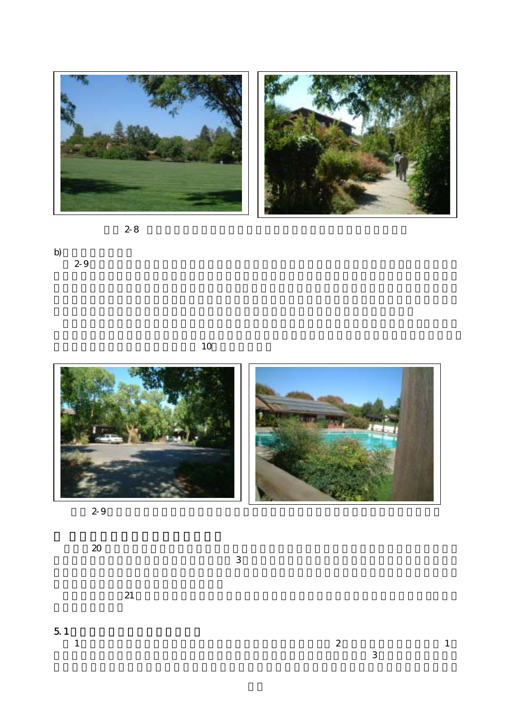



 $2-8$ 



 $10$ 



 $2-9$ 

 $20$ 

 $3$ 

 $21$ 

5.1  $\begin{bmatrix} 5 & 1 \end{bmatrix}$  $\frac{1}{2}$  1

 $\sim$  3  $\sim$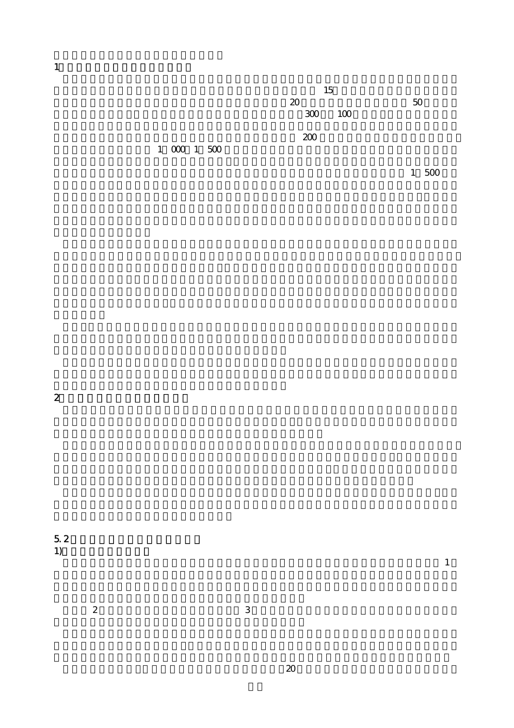1) is the contract of  $\mathbf{S}$ 

 $15$  $\overline{20}$  50  $\overline{50}$  $300 \t 100$  $\infty$  200  $\infty$ 

 $1 \quad 000 \quad 1 \quad 500$ 

 $1\quad 500$ 

2) and  $\overline{z}$ 

 $5.2$   $1.3$   $1.3$   $1.3$   $1.3$   $1.3$   $1.3$   $1.3$   $1.3$   $1.3$   $1.3$   $1.3$   $1.3$   $1.3$   $1.3$   $1.3$   $1.3$   $1.3$   $1.3$   $1.3$   $1.3$   $1.3$   $1.3$   $1.3$   $1.3$   $1.3$   $1.3$   $1.3$   $1.3$   $1.3$   $1.3$   $1.3$   $1.3$   $1.3$   $1.3$   $1.3$   $1.3$  $1)$ 

 $2$  3  $\frac{1}{2}$ 

 $\mathbf 1$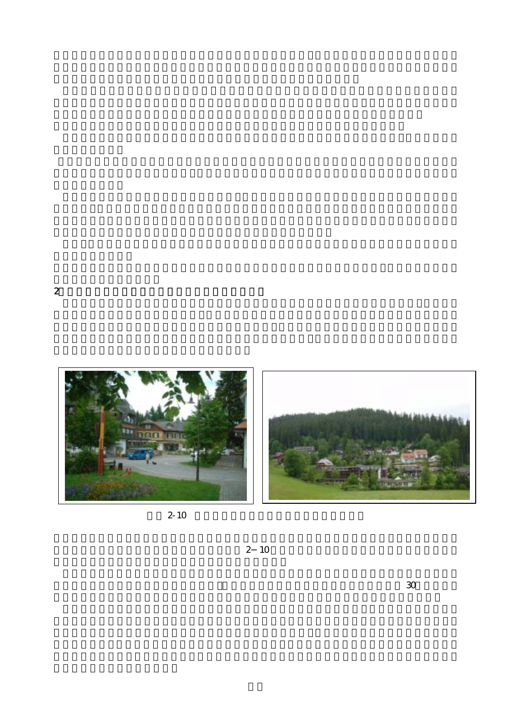





 $2 - 10$ 

 $\sim$  2-10  $\sim$ 

 $\sim$  30km  $\sim$  30km  $\sim$  30km  $\sim$  30km  $\sim$  30km  $\sim$  30km  $\sim$  30km  $\sim$  30km  $\sim$  30km  $\sim$  40km  $\sim$  40km  $\sim$  40km  $\sim$  40km  $\sim$  40km  $\sim$  40km  $\sim$  40km  $\sim$  40km  $\sim$  40km  $\sim$  40km  $\sim$  40km  $\sim$  40km  $\sim$  40km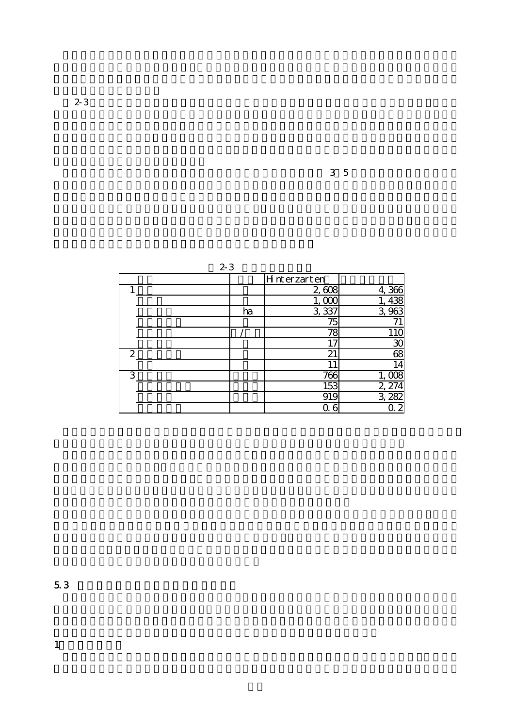|   | $2 - 3$ |    |                 |                                       |
|---|---------|----|-----------------|---------------------------------------|
|   |         |    | Hnterzarten     |                                       |
|   |         |    | 2,608           | 4, 366<br>1, 438<br>3, 963<br>71      |
|   |         |    | 1,00            |                                       |
|   |         | ha | 3,337           |                                       |
|   |         |    | 75              |                                       |
|   |         |    | 78              |                                       |
|   |         |    |                 |                                       |
| 2 |         |    | 21              | $\frac{110}{30}$                      |
|   |         |    |                 | 14                                    |
| З |         |    | 766             | $\frac{1,008}{2,274}$<br>3,282<br>0,2 |
|   |         |    | 153             |                                       |
|   |         |    | 91 <sup>C</sup> |                                       |
|   |         |    |                 |                                       |

 $\overline{3}$ ,  $\overline{5}$ 

 $5.3$   $1.3$ 

 $2-3$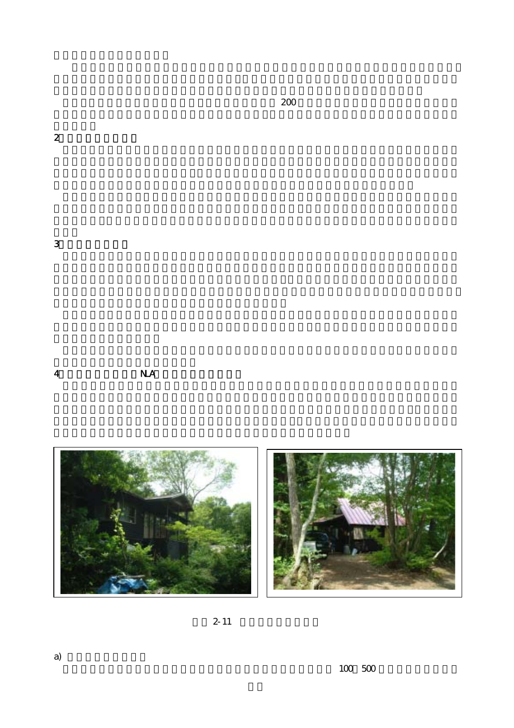$2$ 

 $\overline{3}$ 

4)野尻湖の国際村(NLA)にみる土地所有制度





 $2 - 11$ 

 $200$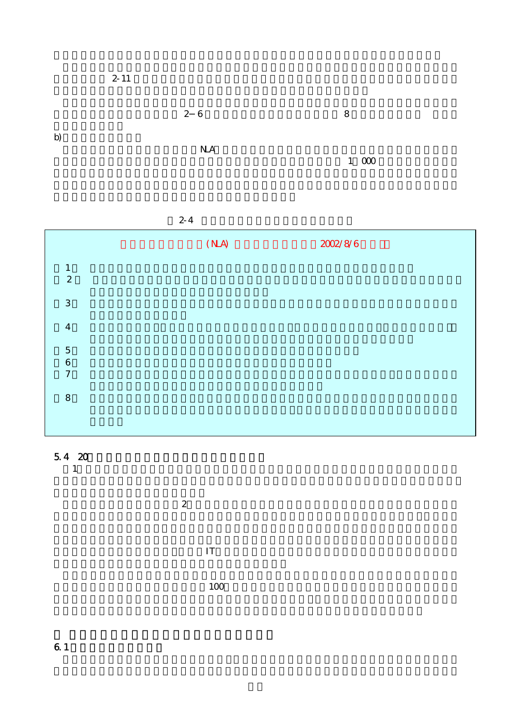

 $2-4$ 

|                                               | (MA) | 2002/8/6 |  |
|-----------------------------------------------|------|----------|--|
| $\mathbf{1}$<br>$\sqrt{2}$                    |      |          |  |
| $\mathbf{3}$                                  |      |          |  |
| $\overline{4}$                                |      |          |  |
| $\overline{5}$<br>$\,6\,$<br>$\boldsymbol{7}$ |      |          |  |
| $\,8\,$                                       |      |          |  |
|                                               |      |          |  |

 $\overline{2}$ 

# 5.4 20

 $1$ 

 $\mathbf{I} \mathbf{T}$  $100$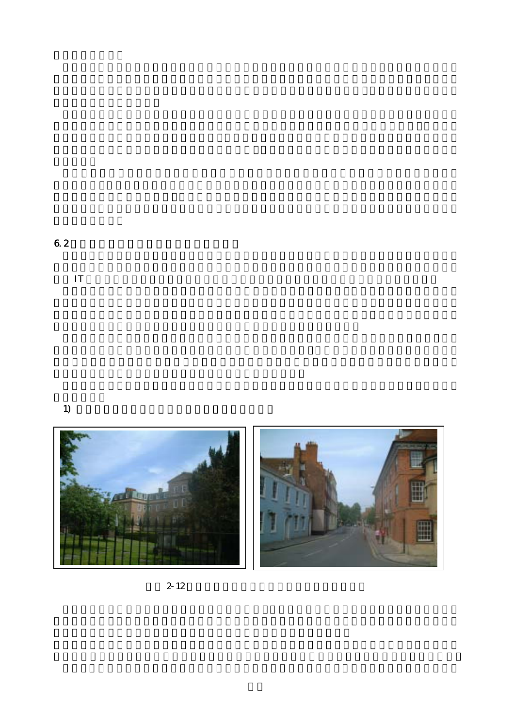$6.2$   $1$ 

 $\bf IT$ 

1)  $\blacksquare$ 





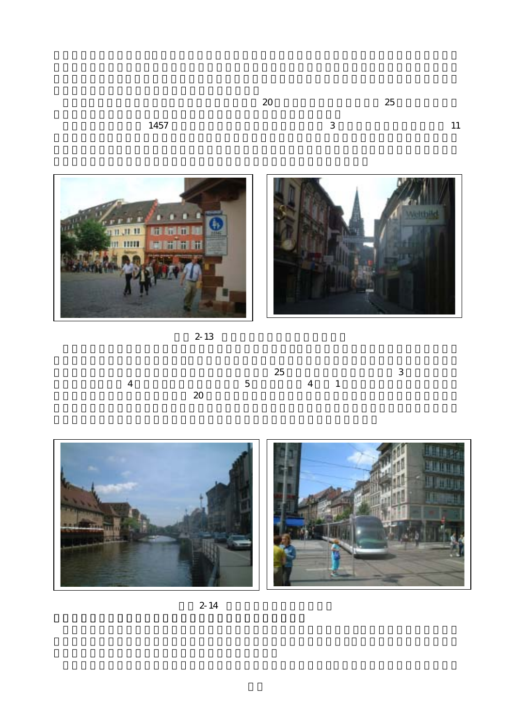$1457$  3 11







|                         |    | 25      |  | $\sim$ 3 |  |
|-------------------------|----|---------|--|----------|--|
| $\overline{\mathbf{4}}$ |    | $5$ 4 1 |  |          |  |
|                         | 20 |         |  |          |  |





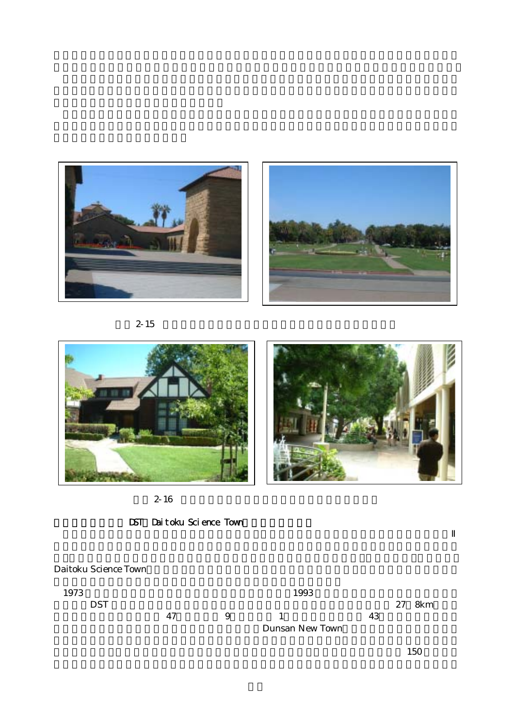



 $2-15$ 



 $2-16$ 

DST Daitoku Science Town

## Daitoku Science Town

| 1973       |    |   | 1993                   |    |           |
|------------|----|---|------------------------|----|-----------|
| <b>DST</b> |    |   |                        |    | 8km<br>27 |
|            | 47 | 9 |                        | 43 |           |
|            |    |   | <b>Dunsan New Town</b> |    |           |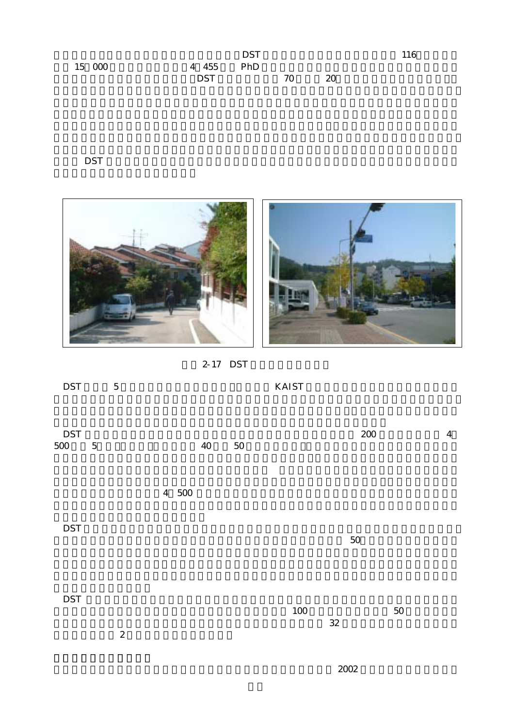|        |            | <b>DST</b> |    |    | 116 |
|--------|------------|------------|----|----|-----|
| 15 000 | 4 455 PhD  |            |    |    |     |
|        | <b>DST</b> |            | 70 | 20 |     |

#### $\overline{\text{DST}}$

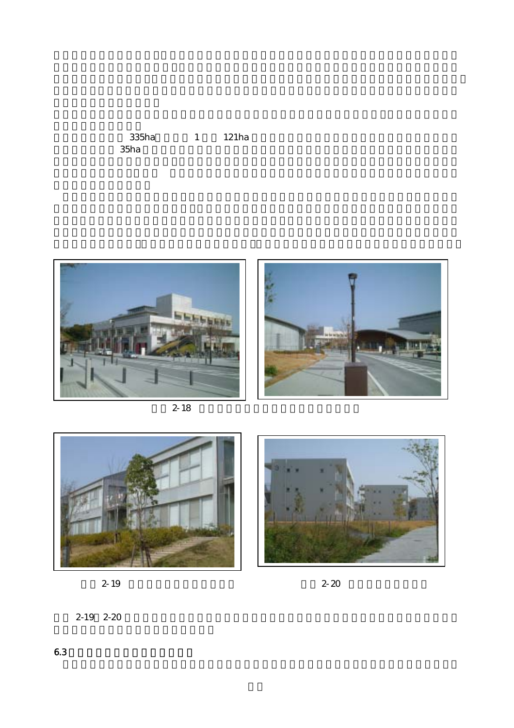$335ha \qquad \qquad 1 \qquad \quad 121ha$   $35ha$  $35ha$ 













 $2-19$   $2-20$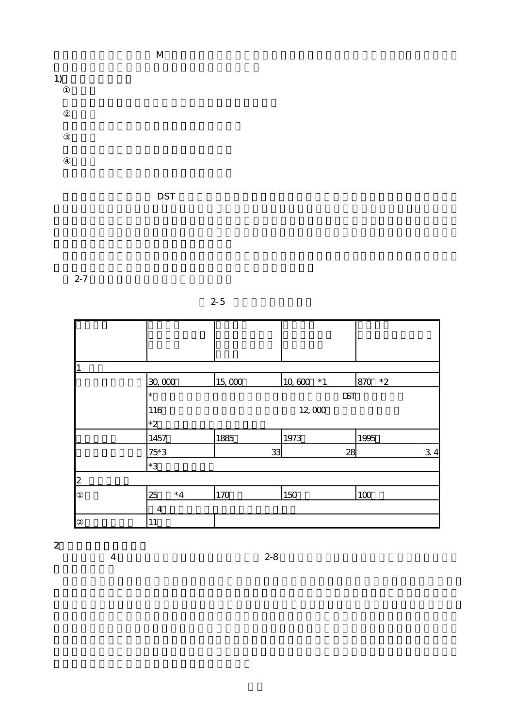$1)$ 



 $2-7$ 



| 1              |                 |        |           |        |
|----------------|-----------------|--------|-----------|--------|
| Т              |                 |        |           |        |
|                | 30,000          | 15,000 | 10,600 *1 | 870 *2 |
|                | $\ast$          |        | DT        |        |
|                | 116             |        | 12,000    |        |
|                | $^\ast 2$       |        |           |        |
|                | 1457            | 1885   | 1973      | 1995   |
|                | $75*3$          | 33     | 28        | 3.4    |
|                | $^{\ast}3$      |        |           |        |
| $\overline{2}$ |                 |        |           |        |
|                | 25<br>$^\ast 4$ | 170    | 150       | 100    |
|                | $\overline{4}$  |        |           |        |
|                | 11              |        |           |        |

 $\mathbf M$ 

 $2$ 

 $4$  and  $2-8$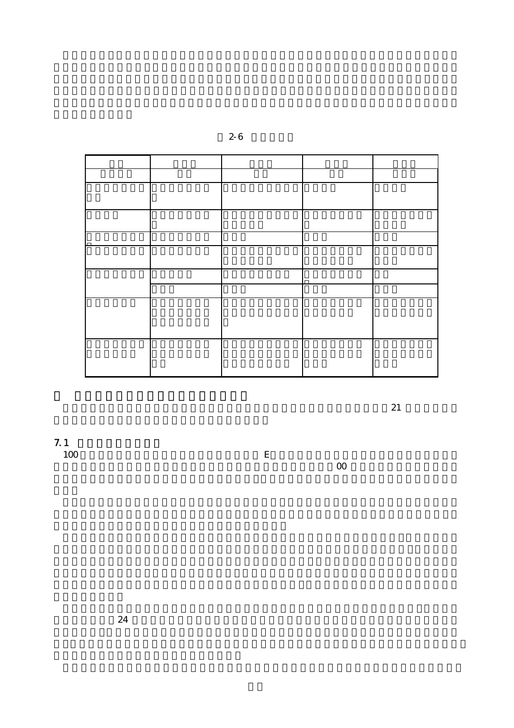| 2-6 |  |
|-----|--|
|-----|--|

 $\overline{21}$ 

 $7.1$   $100$ 100  $E$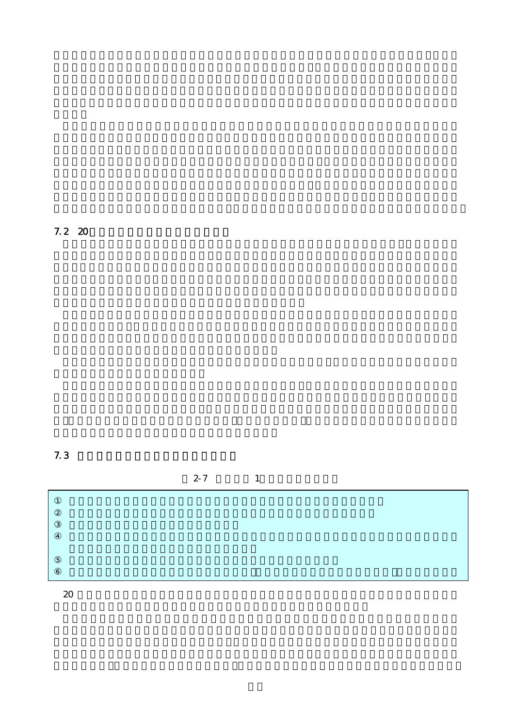$7.2 \quad 20$ 

### $7.3$

## $2-7$  1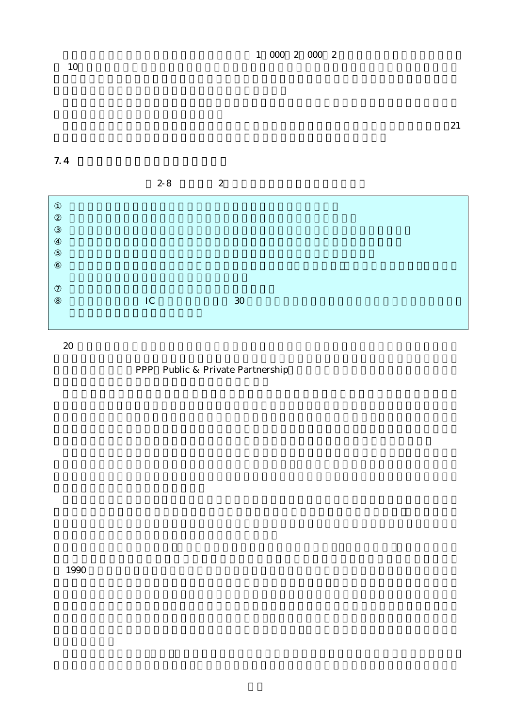$10$ 

 $21$ 

#### $7.4$

2-8 2

| IC | 30 |  |
|----|----|--|
|    |    |  |
|    |    |  |
|    |    |  |
|    |    |  |

 $20$ 

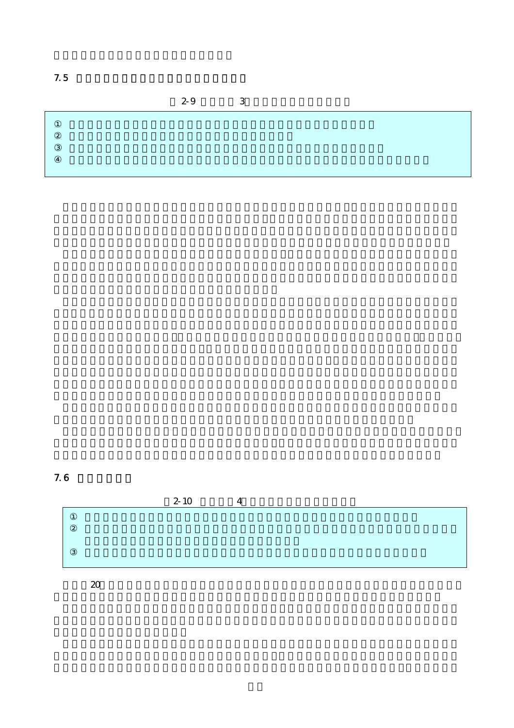$7.5$ 

 $2-9$  3

# $7.6$

 $2-10$  4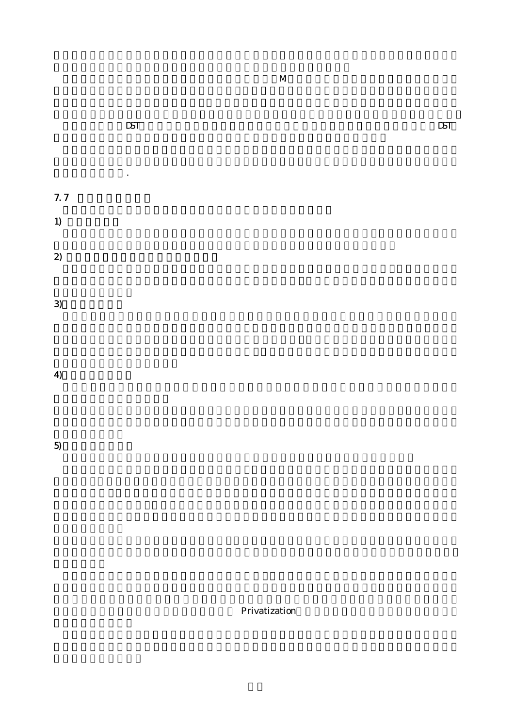$\Box$ sterministerministerministerministerministerministerministerministerministerministerministerministerministerministerministerministerministerministerministerministerministerministerministerministerministerministerminis のであると考える.  $7.7$ 1)  $2)$  $3)$ 

 $4)$ 

5)コンセプトの相関

**Privatization** 

 $\bf M$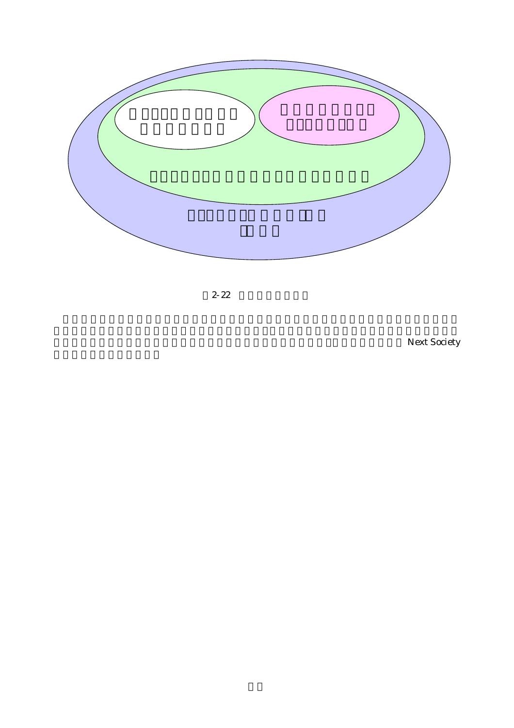

Next Society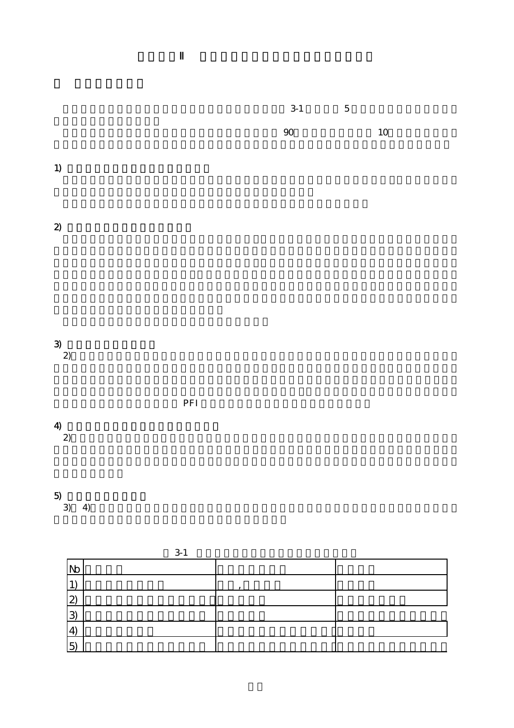

 $PFI$ 

 $\frac{4}{2}$ 2)

5) 総合型の株方式事業  $3)$  4)

 $3-1$ 

| IVO            |  |  |
|----------------|--|--|
|                |  |  |
| $\mathbf{2}$   |  |  |
| 3              |  |  |
| $\mathbf{A}$   |  |  |
| $\overline{5}$ |  |  |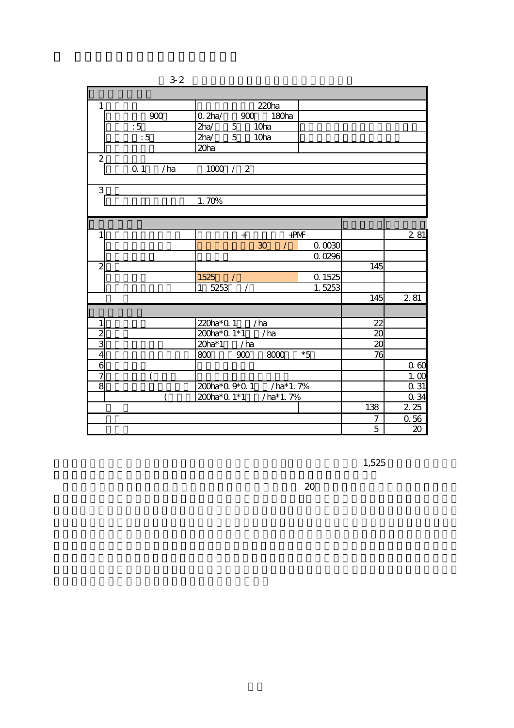| $3-2$<br>$\sim$ |  |  |
|-----------------|--|--|
|-----------------|--|--|

| $\mathbf{1}$   | 220 <sub>ha</sub>                                     |                 |                 |
|----------------|-------------------------------------------------------|-----------------|-----------------|
| 900            | 0.2 <sub>ha</sub><br>900 180ha                        |                 |                 |
| :5             | 2 <sub>ha</sub><br>$\overline{5}$<br>10 <sub>ha</sub> |                 |                 |
| :5             | 2ha/<br>5<br>10 <sub>ha</sub>                         |                 |                 |
|                | 20ha                                                  |                 |                 |
| $\mathbf{z}$   |                                                       |                 |                 |
| /ha<br>0. 1    | 1000 / 2                                              |                 |                 |
|                |                                                       |                 |                 |
| 3              |                                                       |                 |                 |
|                | 1.70%                                                 |                 |                 |
|                |                                                       |                 |                 |
|                |                                                       |                 |                 |
| 1              | $+PMF$                                                |                 | 281             |
|                | 30 <sup>°</sup><br>0.0030<br>$\sqrt{2}$               |                 |                 |
|                | 0.0296                                                |                 |                 |
| $\overline{c}$ |                                                       | 145             |                 |
|                | $1525$ /<br>0.1525                                    |                 |                 |
|                | 1.5253<br>$\mathbf{1}$<br>5253                        |                 |                 |
|                |                                                       | 145             | 281             |
|                |                                                       |                 |                 |
| $\mathbf{1}$   | $220ha*0.1$ /ha                                       | 22              |                 |
| $\overline{c}$ | $200a*0.1*1$<br>/ha                                   | 20              |                 |
| $\overline{3}$ | $20ha*1$ /ha                                          | $\overline{20}$ |                 |
| $\overline{4}$ | $8000$<br>$*5$<br>800<br>900                          | 76              |                 |
| 6              |                                                       |                 | 0.60            |
| $\overline{7}$ |                                                       |                 | 1.00            |
| $\infty$       | 200ha*0.9*0.1 /ha*1.7%                                |                 | 0.31            |
|                | $200a^*0$ 1*1 / $ha^*1$ . 7%                          |                 | 0.34            |
|                |                                                       | 138             | 225             |
|                |                                                       | 7               | $0.56\,$        |
|                |                                                       | $\overline{5}$  | $\overline{20}$ |

 $1,525$ 

Ŧ.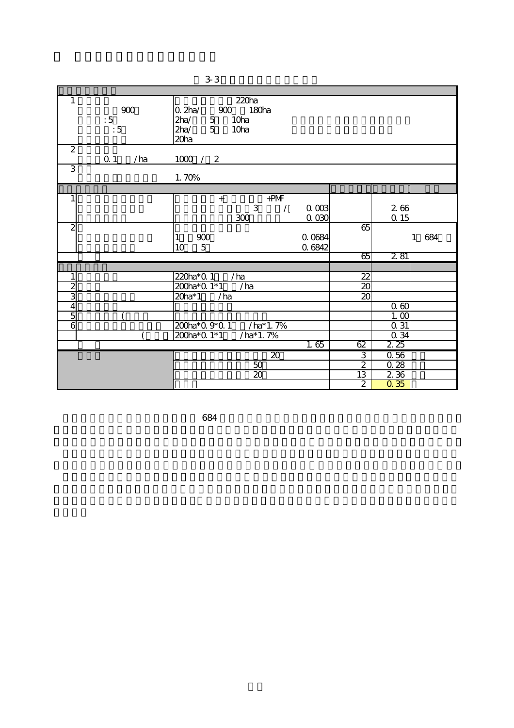| $\mathbf{1}$<br>$900\,$<br>:5<br>$\div 5$ | $\overline{220}$ ha<br>0. 2ha / 900 180ha<br>$2ha/ 5$ 10 $ha$<br>$2ha/ 5$ 10 $ha$ |                 |                   |       |
|-------------------------------------------|-----------------------------------------------------------------------------------|-----------------|-------------------|-------|
| $\overline{2}$<br>$0.1$ /ha               | 20ha<br>1000 / 2                                                                  |                 |                   |       |
| $\overline{3}$                            | 1.70%                                                                             |                 |                   |       |
|                                           |                                                                                   |                 |                   |       |
|                                           | 3 / 0.003<br>0.030<br>$300\,$                                                     |                 | 266<br>0.15       |       |
| $\overline{c}$                            | 1 900<br>0.0684<br>10<br>$\overline{5}$<br>0.6842                                 | 65              |                   | 1 684 |
|                                           |                                                                                   | 65              | 281               |       |
|                                           |                                                                                   |                 |                   |       |
|                                           | $220ha*0.1$ /ha                                                                   | $\overline{22}$ |                   |       |
| $\overline{c}$                            | $200h^*0.1^*1$ /ha                                                                | $\overline{20}$ |                   |       |
| 3                                         | $20a*1$ /ha                                                                       | $\overline{20}$ |                   |       |
| $\overline{4}$                            |                                                                                   |                 | 0.60              |       |
| 5                                         |                                                                                   |                 | $1.\overline{00}$ |       |
| $\overline{6}$                            | 200ha*0.9*0.1<br>$/ha*1.7%$                                                       |                 | $\overline{0.31}$ |       |
|                                           | 200ha*0.1*1<br>$/ha*1.7%$                                                         |                 | 0.34              |       |
|                                           | 1.65                                                                              | 62              | 2.25              |       |
|                                           | $20\,$                                                                            | 3               | 0.56              |       |
|                                           | $50$                                                                              | $\overline{2}$  | 0.28              |       |
|                                           | $\overline{20}$                                                                   | 13              | 2 3 6             |       |
|                                           |                                                                                   | $\overline{2}$  | 0.35              |       |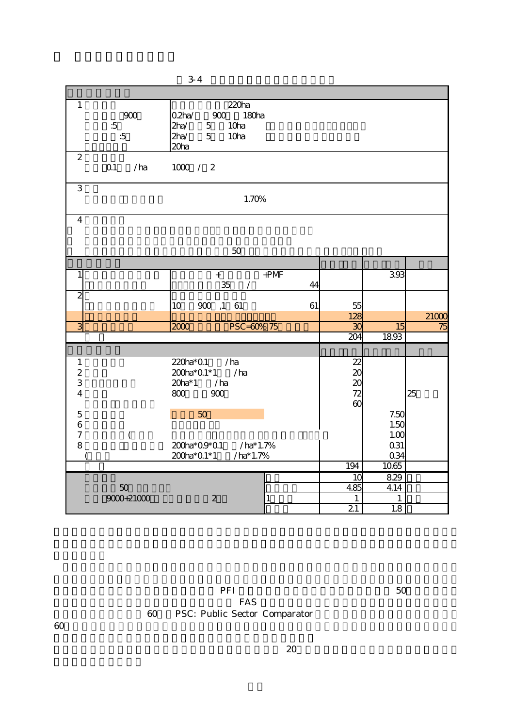| $\mathbf{1}$                                                   | $\infty$<br>:5<br>:5 | 220 <sub>ha</sub><br>$02$ ha/<br>900 180ha<br>1 <sub>Cha</sub><br>2 <sub>ha</sub><br>$5 -$<br>2 <sub>ha</sub><br>1 <sub>Cha</sub><br>$5 -$<br>20 <sub>ha</sub> |    |                  |                       |       |
|----------------------------------------------------------------|----------------------|----------------------------------------------------------------------------------------------------------------------------------------------------------------|----|------------------|-----------------------|-------|
| $\overline{2}$                                                 | $Q1$ /ha             | 1000 / 2                                                                                                                                                       |    |                  |                       |       |
| 3                                                              |                      | 1.70%                                                                                                                                                          |    |                  |                       |       |
| $\overline{\mathbf{4}}$                                        |                      |                                                                                                                                                                |    |                  |                       |       |
|                                                                |                      |                                                                                                                                                                |    |                  |                       |       |
|                                                                |                      | 50                                                                                                                                                             |    |                  |                       |       |
|                                                                |                      |                                                                                                                                                                |    |                  |                       |       |
| 1                                                              |                      | +PMF<br>$+$<br>35                                                                                                                                              | 44 |                  | 393                   |       |
| $\overline{2}$                                                 |                      |                                                                                                                                                                |    |                  |                       |       |
|                                                                |                      | 10 <sub>o</sub><br>900 ,1 61                                                                                                                                   | 61 | 55<br>128        |                       | 21000 |
| دى                                                             |                      | 2000<br>PSC=60% 75                                                                                                                                             |    | 30               | 15                    | 75    |
|                                                                |                      |                                                                                                                                                                |    | $\overline{204}$ | 1893                  |       |
|                                                                |                      |                                                                                                                                                                |    |                  |                       |       |
| $\mathbf{1}$<br>$\overline{c}$<br>3<br>$\overline{\mathbf{4}}$ |                      | $220ha*01$ /ha<br>200ha*01*1 /ha<br>$20ha*1$ /ha<br>800<br>900                                                                                                 |    | 2002020          |                       | 25    |
| 5                                                              |                      | 50                                                                                                                                                             |    |                  | 7.50                  |       |
| $\boldsymbol{6}$                                               |                      |                                                                                                                                                                |    |                  | 1.50                  |       |
| $\overline{7}$<br>8                                            | $\overline{(\ }$     | 200ha*09*01 /ha*1.7%                                                                                                                                           |    |                  | 1 <sub>0</sub><br>Q31 |       |
|                                                                |                      | 200ha*01*1 /ha*1.7%                                                                                                                                            |    |                  | 0.34                  |       |
|                                                                |                      |                                                                                                                                                                |    | 194              | 1065                  |       |
|                                                                |                      |                                                                                                                                                                |    | 10               | 829                   |       |
|                                                                | 50 <sub>o</sub>      |                                                                                                                                                                |    | 4.85             | 4.14                  |       |
|                                                                | 9000+21000           | $\overline{2}$<br>1                                                                                                                                            |    | 1                | $\mathbf{1}$          |       |
|                                                                |                      |                                                                                                                                                                |    | $\overline{21}$  | $\overline{1.8}$      |       |

 $PFI$  50  $50$  $\text{FAS}$ 60 PSC: Public Sector Comparator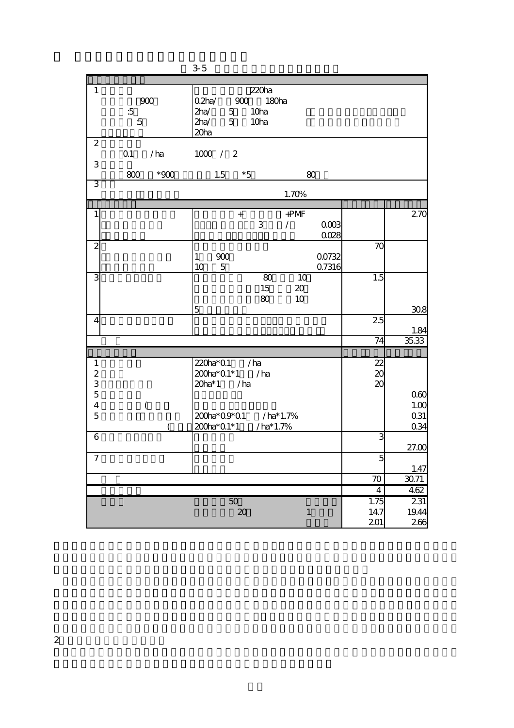| $\mathbf{1}$                                | 220 <sub>ha</sub>                            |                |       |
|---------------------------------------------|----------------------------------------------|----------------|-------|
| 900                                         | 900 180ha<br>02ha/                           |                |       |
| :5                                          | 2 <sub>ha</sub><br>1 <sub>Cha</sub><br>5     |                |       |
| :5                                          | $5 -$<br>2 <sub>ha</sub><br>1 <sub>Cha</sub> |                |       |
|                                             | 20 <sub>ha</sub>                             |                |       |
| $\overline{2}$<br>/ha<br>Q1                 | 1000 / 2                                     |                |       |
| 3<br>$*900$<br>800                          | $*5$<br>1.5<br>80                            |                |       |
| 3                                           | 1.70%                                        |                |       |
|                                             |                                              |                |       |
| $\mathbf{1}$                                | +PMF<br>$\begin{array}{c} + \end{array}$     |                | 270   |
|                                             | 3<br>$\sqrt{2}$<br>0003                      |                |       |
|                                             | 0028                                         |                |       |
| $\overline{2}$                              |                                              | 70             |       |
|                                             | 900<br>1<br>Q0732                            |                |       |
|                                             | 5<br>10<br>Q7316                             |                |       |
| 3                                           | 80<br>10                                     | 1.5            |       |
|                                             | 15<br>20                                     |                |       |
|                                             | 80<br>10 <sup>°</sup>                        |                |       |
|                                             | 5                                            |                | 308   |
| 4                                           |                                              | 25             |       |
|                                             |                                              |                | 1.84  |
|                                             |                                              | 74             | 35.33 |
|                                             |                                              |                |       |
| $\mathbf{1}$                                | 220 <sub>ha</sub> *01 /ha                    | 88<br>8        |       |
| $\begin{array}{c} 2 \\ 3 \\ 5 \end{array}$  | 200ha*0.1*1 /ha                              |                |       |
|                                             | $20ha*1$ /ha                                 |                |       |
|                                             |                                              |                | 060   |
| $\overline{\mathbf{4}}$<br>$\overline{(\ }$ |                                              |                | 1.00  |
| 5                                           | 200ha*09*01 /ha*1.7%                         |                | Q31   |
|                                             | 200ha*0.1*1<br>/ha*1.7%                      |                | 0.34  |
| 6                                           |                                              | 3              |       |
|                                             |                                              |                | 27.00 |
| $\overline{7}$                              |                                              | 5              |       |
|                                             |                                              |                | 1.47  |
|                                             |                                              | 70             | 3071  |
|                                             |                                              | $\overline{4}$ | 4.62  |
|                                             | $\overline{50}$                              | 1.75           | 231   |
|                                             | $\infty$<br>$\mathbf{1}$                     | 14.7           | 19.44 |
|                                             |                                              | 201            | 266   |

 $3-5$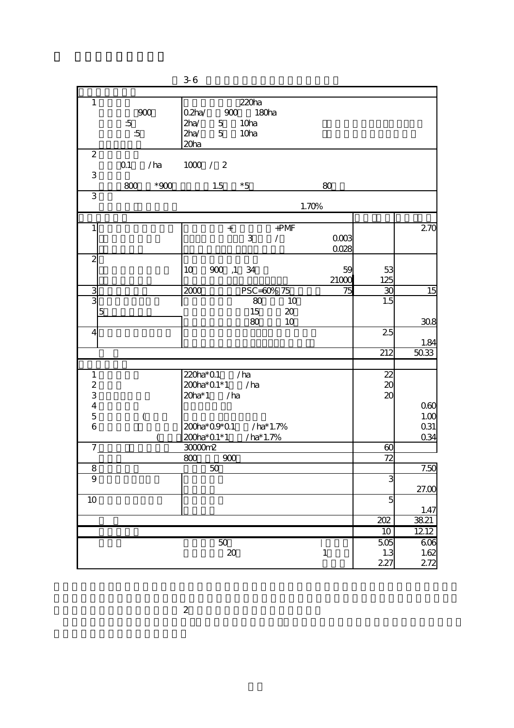| 3-6 |  |
|-----|--|
|-----|--|

| $\mathbf{1}$<br>900<br>:5<br>:5                               | 220 <sub>ha</sub><br>$02$ ha/<br>900 180ha<br>1 <sub>Cha</sub><br>$2$ ha/<br>5<br>5<br>1 <sub>Cha</sub><br>$2$ ha/ |                                |                    |
|---------------------------------------------------------------|--------------------------------------------------------------------------------------------------------------------|--------------------------------|--------------------|
|                                                               | 20 <sub>ha</sub>                                                                                                   |                                |                    |
| $\overline{2}$<br>$/$ ha<br>Q1                                | 1000 / 2                                                                                                           |                                |                    |
| 3<br>800                                                      | $*900$<br>1.5<br>$*5$<br>80                                                                                        |                                |                    |
| 3                                                             | 1.70%                                                                                                              |                                |                    |
|                                                               |                                                                                                                    |                                |                    |
| $\mathbf{1}$                                                  | $+$ PM $F$<br>$\pm$<br>3<br>$\prime$<br>0003<br>0028                                                               |                                | 270                |
| $\overline{2}$                                                | 900 ,1 34<br>10 <sup>°</sup><br>21000                                                                              | 53<br>59<br>125                |                    |
| 3                                                             | 2000<br>PSC=60% 75                                                                                                 | 30<br>75                       | 15                 |
| 3<br>5                                                        | 80<br>10<br>15<br>20<br>80<br>10                                                                                   | 1.5                            | 308                |
| 4                                                             |                                                                                                                    | 25                             | 1.84               |
|                                                               |                                                                                                                    | 212                            | 5033               |
|                                                               |                                                                                                                    |                                |                    |
| $\mathbf{1}$<br>$\frac{2}{3}$                                 | 220ha*01 /ha<br>200ha*0.1*1 /ha<br>$20ha*1$ /ha                                                                    | $\frac{22}{20}$                |                    |
| $\overline{\mathbf{4}}$<br>5<br>$\overline{\phantom{a}}$<br>6 | 200ha*09*01 /ha*1.7%                                                                                               |                                | 060<br>1.00<br>Q31 |
|                                                               | 200ha*01*1 /ha*1.7%                                                                                                |                                | 0.34               |
| $\overline{7}$                                                | 3000 <sub>0</sub>                                                                                                  | 60                             |                    |
|                                                               | $800$ $900$                                                                                                        | 72                             |                    |
| 8                                                             | $50\,$                                                                                                             |                                | 7.50               |
| 9                                                             |                                                                                                                    | 3                              | 27.00              |
| 10                                                            |                                                                                                                    | 5                              | 1.47               |
|                                                               |                                                                                                                    | 202                            | 38.21              |
|                                                               |                                                                                                                    | $\overline{10}$                | 1212               |
|                                                               | $\overline{50}$<br>$\infty$<br>1                                                                                   | $\overline{505}$<br>1.3<br>227 | 606<br>1.62<br>272 |
|                                                               |                                                                                                                    |                                |                    |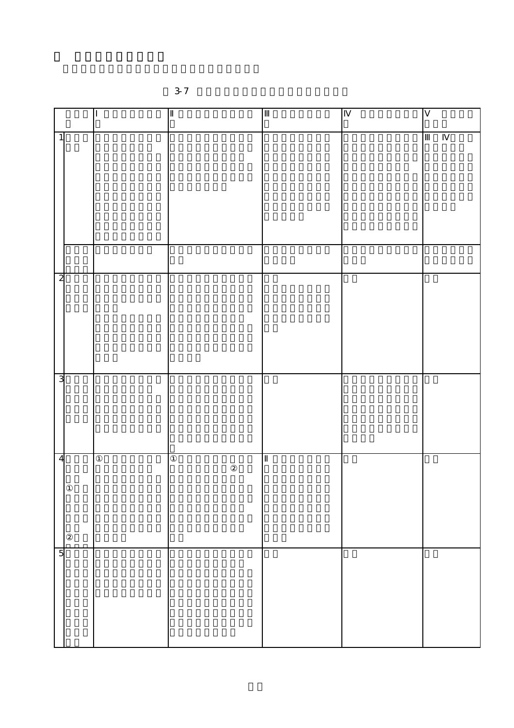| $\mathbf{1}$   |  |  |  |
|----------------|--|--|--|
|                |  |  |  |
| $\overline{c}$ |  |  |  |
| $\overline{3}$ |  |  |  |
| $\overline{4}$ |  |  |  |
| $\overline{5}$ |  |  |  |